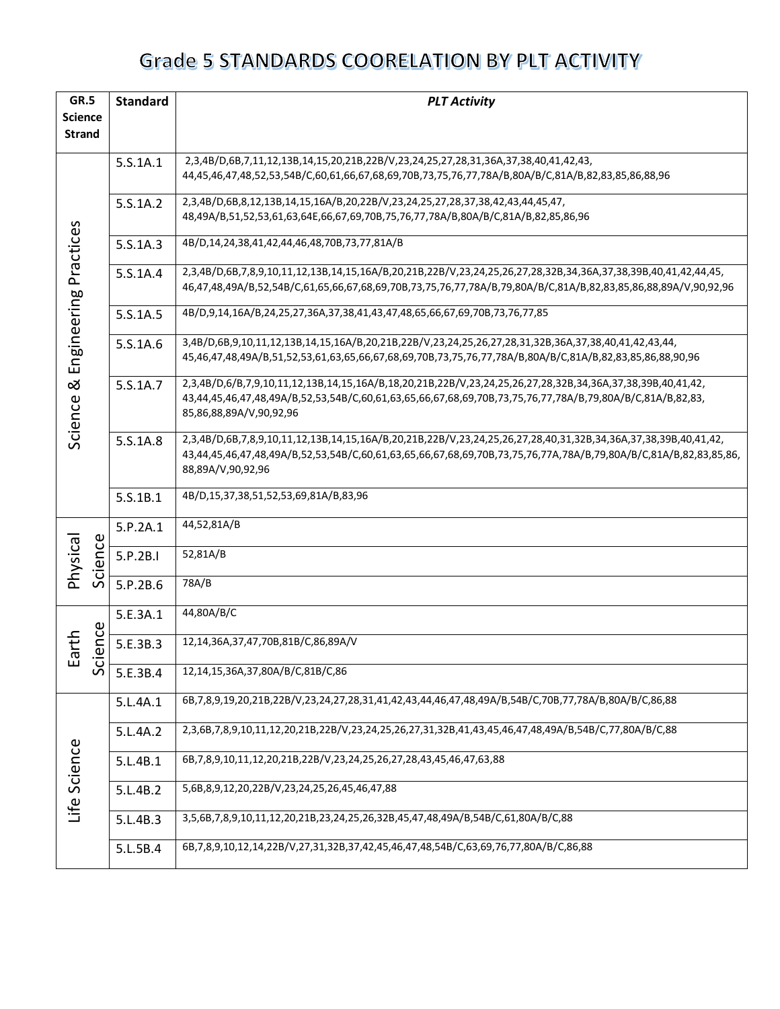| GR.5                | <b>Standard</b><br><b>PLT Activity</b> |                                                                                                                                       |  |
|---------------------|----------------------------------------|---------------------------------------------------------------------------------------------------------------------------------------|--|
| <b>Science</b>      |                                        |                                                                                                                                       |  |
| <b>Strand</b>       |                                        |                                                                                                                                       |  |
|                     | 5.S.1A.1                               | 2,3,4B/D,6B,7,11,12,13B,14,15,20,21B,22B/V,23,24,25,27,28,31,36A,37,38,40,41,42,43,                                                   |  |
|                     |                                        | 44,45,46,47,48,52,53,54B/C,60,61,66,67,68,69,70B,73,75,76,77,78A/B,80A/B/C,81A/B,82,83,85,86,88,96                                    |  |
|                     | 5.S.1A.2                               | 2,3,4B/D,6B,8,12,13B,14,15,16A/B,20,22B/V,23,24,25,27,28,37,38,42,43,44,45,47,                                                        |  |
|                     |                                        | 48,49A/B,51,52,53,61,63,64E,66,67,69,70B,75,76,77,78A/B,80A/B/C,81A/B,82,85,86,96                                                     |  |
| Practices           | 5.S.1A.3                               | 4B/D,14,24,38,41,42,44,46,48,70B,73,77,81A/B                                                                                          |  |
|                     | 5.S.1A.4                               | 2,3,4B/D,6B,7,8,9,10,11,12,13B,14,15,16A/B,20,21B,22B/V,23,24,25,26,27,28,32B,34,36A,37,38,39B,40,41,42,44,45,                        |  |
|                     |                                        | 46,47,48,49A/B,52,54B/C,61,65,66,67,68,69,70B,73,75,76,77,78A/B,79,80A/B/C,81A/B,82,83,85,86,88,89A/V,90,92,96                        |  |
| Engineering         | 5.S.1A.5                               | 4B/D,9,14,16A/B,24,25,27,36A,37,38,41,43,47,48,65,66,67,69,70B,73,76,77,85                                                            |  |
|                     | 5.S.1A.6                               | 3,4B/D,6B,9,10,11,12,13B,14,15,16A/B,20,21B,22B/V,23,24,25,26,27,28,31,32B,36A,37,38,40,41,42,43,44,                                  |  |
|                     |                                        | 45,46,47,48,49A/B,51,52,53,61,63,65,66,67,68,69,70B,73,75,76,77,78A/B,80A/B/C,81A/B,82,83,85,86,88,90,96                              |  |
| ಡ                   | 5.S.1A.7                               | 2,3,4B/D,6/B,7,9,10,11,12,13B,14,15,16A/B,18,20,21B,22B/V,23,24,25,26,27,28,32B,34,36A,37,38,39B,40,41,42,                            |  |
|                     |                                        | 43,44,45,46,47,48,49A/B,52,53,54B/C,60,61,63,65,66,67,68,69,70B,73,75,76,77,78A/B,79,80A/B/C,81A/B,82,83,                             |  |
| Science             |                                        | 85,86,88,89A/V,90,92,96                                                                                                               |  |
|                     | 5.S.1A.8                               | 2,3,4B/D,6B,7,8,9,10,11,12,13B,14,15,16A/B,20,21B,22B/V,23,24,25,26,27,28,40,31,32B,34,36A,37,38,39B,40,41,42,                        |  |
|                     |                                        | 43,44,45,46,47,48,49A/B,52,53,54B/C,60,61,63,65,66,67,68,69,70B,73,75,76,77A,78A/B,79,80A/B/C,81A/B,82,83,85,86,<br>88,89A/V,90,92,96 |  |
|                     |                                        |                                                                                                                                       |  |
|                     | 5.S.1B.1                               | 4B/D,15,37,38,51,52,53,69,81A/B,83,96                                                                                                 |  |
|                     | 5.P.2A.1                               | 44,52,81A/B                                                                                                                           |  |
| Science<br>Physical | 5.P.2B.I                               | 52,81A/B                                                                                                                              |  |
|                     | 5.P.2B.6                               | 78A/B                                                                                                                                 |  |
|                     | 5.E.3A.1                               | 44,80A/B/C                                                                                                                            |  |
| ence<br>arth        | 5.E.3B.3                               | 12,14,36A,37,47,70B,81B/C,86,89A/V                                                                                                    |  |
| ய<br>5c             | 5.E.3B.4                               | 12,14,15,36A,37,80A/B/C,81B/C,86                                                                                                      |  |
|                     | 5.L.4A.1                               | 6B,7,8,9,19,20,21B,22B/V,23,24,27,28,31,41,42,43,44,46,47,48,49A/B,54B/C,70B,77,78A/B,80A/B/C,86,88                                   |  |
|                     | 5.L.4A.2                               | 2,3,6B,7,8,9,10,11,12,20,21B,22B/V,23,24,25,26,27,31,32B,41,43,45,46,47,48,49A/B,54B/C,77,80A/B/C,88                                  |  |
| Life Science        | 5.L.4B.1                               | 6B,7,8,9,10,11,12,20,21B,22B/V,23,24,25,26,27,28,43,45,46,47,63,88                                                                    |  |
|                     | 5.L.4B.2                               | 5,6B,8,9,12,20,22B/V,23,24,25,26,45,46,47,88                                                                                          |  |
|                     | 5.L.4B.3                               | 3,5,6B,7,8,9,10,11,12,20,21B,23,24,25,26,32B,45,47,48,49A/B,54B/C,61,80A/B/C,88                                                       |  |
|                     | 5.L.5B.4                               | 6B,7,8,9,10,12,14,22B/V,27,31,32B,37,42,45,46,47,48,54B/C,63,69,76,77,80A/B/C,86,88                                                   |  |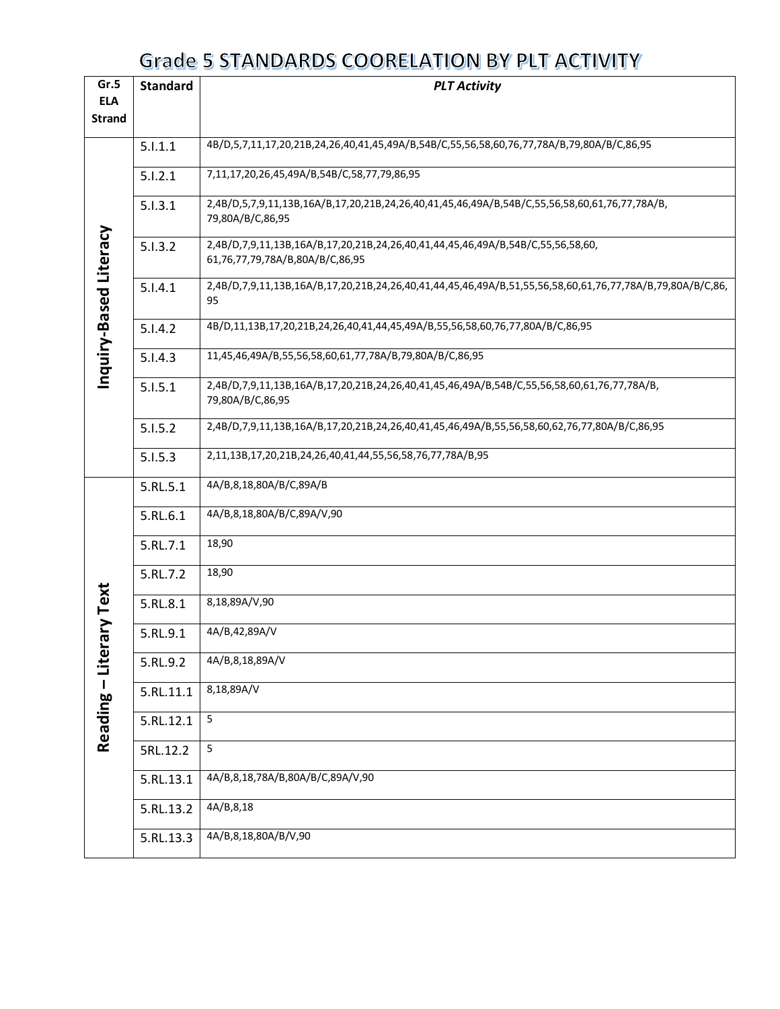| Gr.5                   | <b>Standard</b><br><b>PLT Activity</b> |                                                                                                                    |  |  |  |
|------------------------|----------------------------------------|--------------------------------------------------------------------------------------------------------------------|--|--|--|
| <b>ELA</b>             |                                        |                                                                                                                    |  |  |  |
| <b>Strand</b>          |                                        |                                                                                                                    |  |  |  |
|                        | 5.1.1.1                                | 4B/D,5,7,11,17,20,21B,24,26,40,41,45,49A/B,54B/C,55,56,58,60,76,77,78A/B,79,80A/B/C,86,95                          |  |  |  |
|                        | 5.1.2.1                                | 7,11,17,20,26,45,49A/B,54B/C,58,77,79,86,95                                                                        |  |  |  |
|                        | 5.1.3.1                                | 2,4B/D,5,7,9,11,13B,16A/B,17,20,21B,24,26,40,41,45,46,49A/B,54B/C,55,56,58,60,61,76,77,78A/B,<br>79,80A/B/C,86,95  |  |  |  |
| Inquiry-Based Literacy | 5.1.3.2                                | 2,4B/D,7,9,11,13B,16A/B,17,20,21B,24,26,40,41,44,45,46,49A/B,54B/C,55,56,58,60,<br>61,76,77,79,78A/B,80A/B/C,86,95 |  |  |  |
|                        | 5.1.4.1                                | 2,4B/D,7,9,11,13B,16A/B,17,20,21B,24,26,40,41,44,45,46,49A/B,51,55,56,58,60,61,76,77,78A/B,79,80A/B/C,86,<br>95    |  |  |  |
|                        | 5.1.4.2                                | 4B/D,11,13B,17,20,21B,24,26,40,41,44,45,49A/B,55,56,58,60,76,77,80A/B/C,86,95                                      |  |  |  |
|                        | 5.1.4.3                                | 11,45,46,49A/B,55,56,58,60,61,77,78A/B,79,80A/B/C,86,95                                                            |  |  |  |
|                        | 5.1.5.1                                | 2,4B/D,7,9,11,13B,16A/B,17,20,21B,24,26,40,41,45,46,49A/B,54B/C,55,56,58,60,61,76,77,78A/B,<br>79,80A/B/C,86,95    |  |  |  |
|                        | 5.1.5.2                                | 2,4B/D,7,9,11,13B,16A/B,17,20,21B,24,26,40,41,45,46,49A/B,55,56,58,60,62,76,77,80A/B/C,86,95                       |  |  |  |
|                        | 5.1.5.3                                | 2,11,13B,17,20,21B,24,26,40,41,44,55,56,58,76,77,78A/B,95                                                          |  |  |  |
|                        | 5.RL.5.1                               | 4A/B,8,18,80A/B/C,89A/B                                                                                            |  |  |  |
|                        | 5.RL.6.1                               | 4A/B,8,18,80A/B/C,89A/V,90                                                                                         |  |  |  |
|                        | 5.RL.7.1                               | 18,90                                                                                                              |  |  |  |
|                        | 5.RL.7.2                               | 18,90                                                                                                              |  |  |  |
| ary Text               | 5.RL.8.1                               | 8,18,89A/V,90                                                                                                      |  |  |  |
|                        | 5.RL.9.1                               | 4A/B,42,89A/V                                                                                                      |  |  |  |
| Reading - Liter        | 5.RL.9.2                               | 4A/B,8,18,89A/V                                                                                                    |  |  |  |
|                        | 5.RL.11.1                              | 8,18,89A/V                                                                                                         |  |  |  |
|                        | 5.RL.12.1                              | 5                                                                                                                  |  |  |  |
|                        | 5RL.12.2                               | 5                                                                                                                  |  |  |  |
|                        | 5.RL.13.1                              | 4A/B,8,18,78A/B,80A/B/C,89A/V,90                                                                                   |  |  |  |
|                        | 5.RL.13.2                              | 4A/B,8,18                                                                                                          |  |  |  |
|                        | 5.RL.13.3                              | 4A/B,8,18,80A/B/V,90                                                                                               |  |  |  |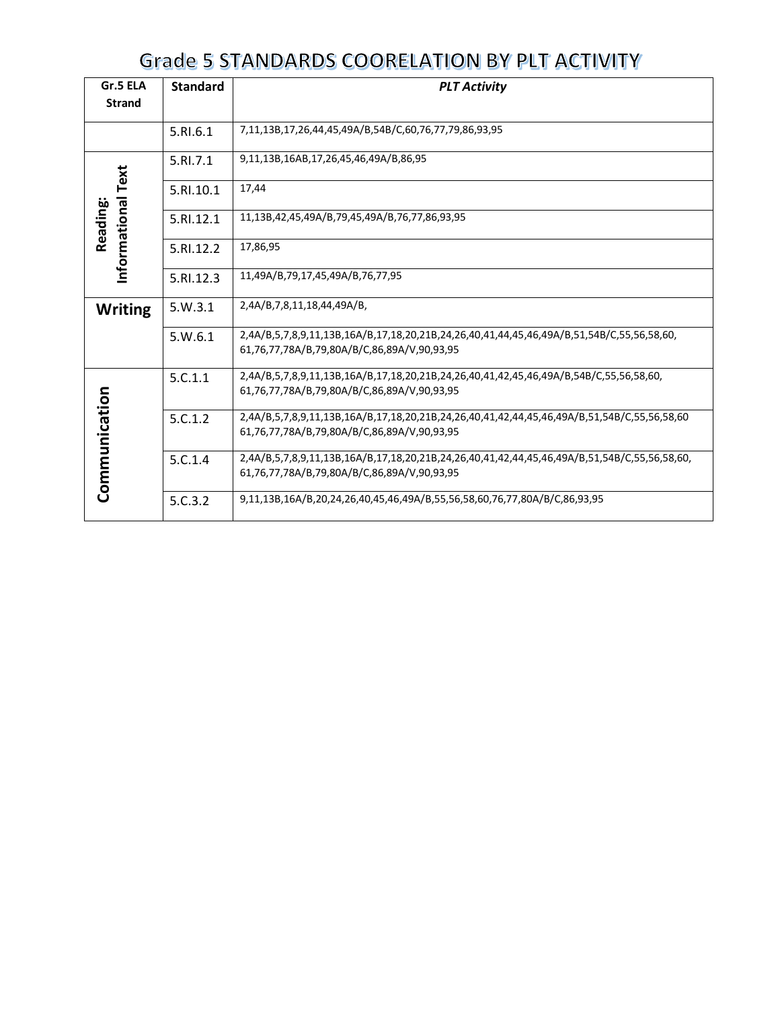| Gr.5 ELA                      | <b>Standard</b><br><b>PLT Activity</b> |                                                                                                                                             |  |  |
|-------------------------------|----------------------------------------|---------------------------------------------------------------------------------------------------------------------------------------------|--|--|
| <b>Strand</b>                 |                                        |                                                                                                                                             |  |  |
|                               | 5.RI.6.1                               | 7,11,13B,17,26,44,45,49A/B,54B/C,60,76,77,79,86,93,95                                                                                       |  |  |
|                               | 5.RL7.1                                | 9,11,13B,16AB,17,26,45,46,49A/B,86,95                                                                                                       |  |  |
|                               | 5.RI.10.1                              | 17,44                                                                                                                                       |  |  |
| Informational Text<br>Reading | 5.RI.12.1                              | 11,13B,42,45,49A/B,79,45,49A/B,76,77,86,93,95                                                                                               |  |  |
|                               | 5.RI.12.2                              | 17,86,95                                                                                                                                    |  |  |
|                               | 5.RI.12.3                              | 11,49A/B,79,17,45,49A/B,76,77,95                                                                                                            |  |  |
| <b>Writing</b>                | 5.W.3.1                                | 2,4A/B,7,8,11,18,44,49A/B,                                                                                                                  |  |  |
|                               | 5. W.6.1                               | 2,4A/B,5,7,8,9,11,13B,16A/B,17,18,20,21B,24,26,40,41,44,45,46,49A/B,51,54B/C,55,56,58,60,<br>61,76,77,78A/B,79,80A/B/C,86,89A/V,90,93,95    |  |  |
|                               | 5.C.1.1                                | 2,4A/B,5,7,8,9,11,13B,16A/B,17,18,20,21B,24,26,40,41,42,45,46,49A/B,54B/C,55,56,58,60,<br>61,76,77,78A/B,79,80A/B/C,86,89A/V,90,93,95       |  |  |
|                               | 5.C.1.2                                | 2,4A/B,5,7,8,9,11,13B,16A/B,17,18,20,21B,24,26,40,41,42,44,45,46,49A/B,51,54B/C,55,56,58,60<br>61,76,77,78A/B,79,80A/B/C,86,89A/V,90,93,95  |  |  |
| Communication                 | 5.C.1.4                                | 2,4A/B,5,7,8,9,11,13B,16A/B,17,18,20,21B,24,26,40,41,42,44,45,46,49A/B,51,54B/C,55,56,58,60,<br>61,76,77,78A/B,79,80A/B/C,86,89A/V,90,93,95 |  |  |
|                               | 5.C.3.2                                | 9,11,13B,16A/B,20,24,26,40,45,46,49A/B,55,56,58,60,76,77,80A/B/C,86,93,95                                                                   |  |  |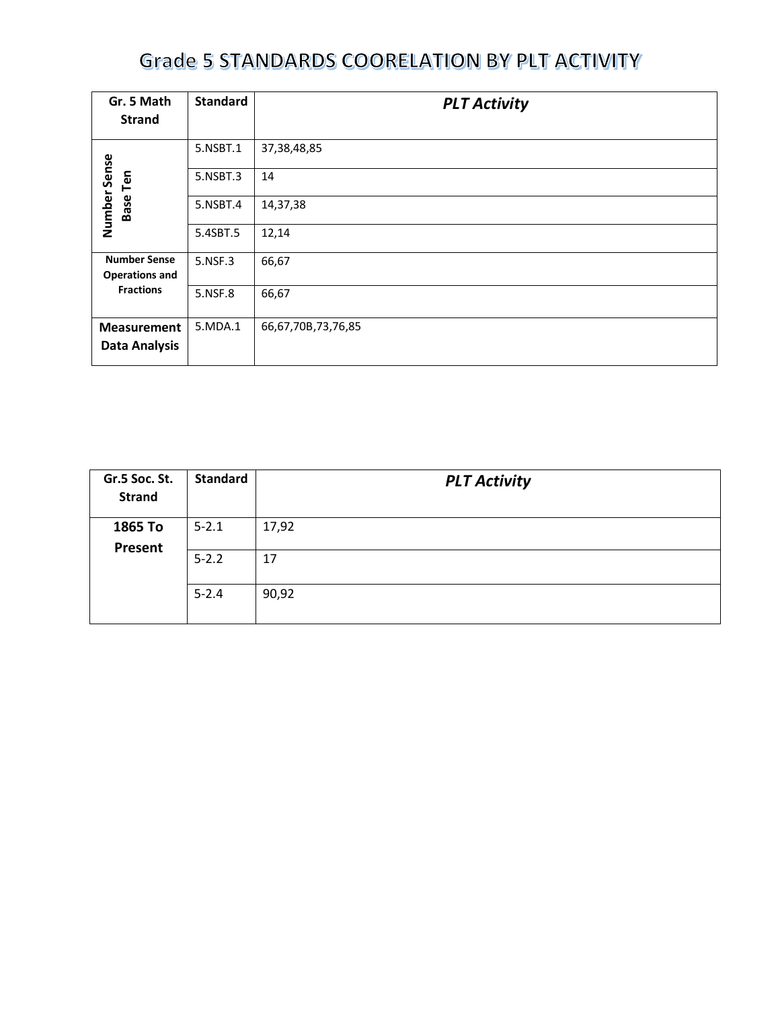| Gr. 5 Math<br><b>Strand</b>                  | <b>Standard</b> | <b>PLT Activity</b> |
|----------------------------------------------|-----------------|---------------------|
|                                              | 5.NSBT.1        | 37, 38, 48, 85      |
| Base Ten                                     | 5.NSBT.3        | 14                  |
| Number Sense                                 | 5.NSBT.4        | 14,37,38            |
|                                              | 5.4SBT.5        | 12,14               |
| <b>Number Sense</b><br><b>Operations and</b> | 5.NSF.3         | 66,67               |
| <b>Fractions</b>                             | 5.NSF.8         | 66,67               |
| <b>Measurement</b>                           | 5.MDA.1         | 66,67,70B,73,76,85  |
| <b>Data Analysis</b>                         |                 |                     |

| Gr.5 Soc. St.<br><b>Strand</b> | <b>Standard</b> | <b>PLT Activity</b> |
|--------------------------------|-----------------|---------------------|
| 1865 To<br>Present             | $5 - 2.1$       | 17,92               |
|                                | $5 - 2.2$       | 17                  |
|                                | $5 - 2.4$       | 90,92               |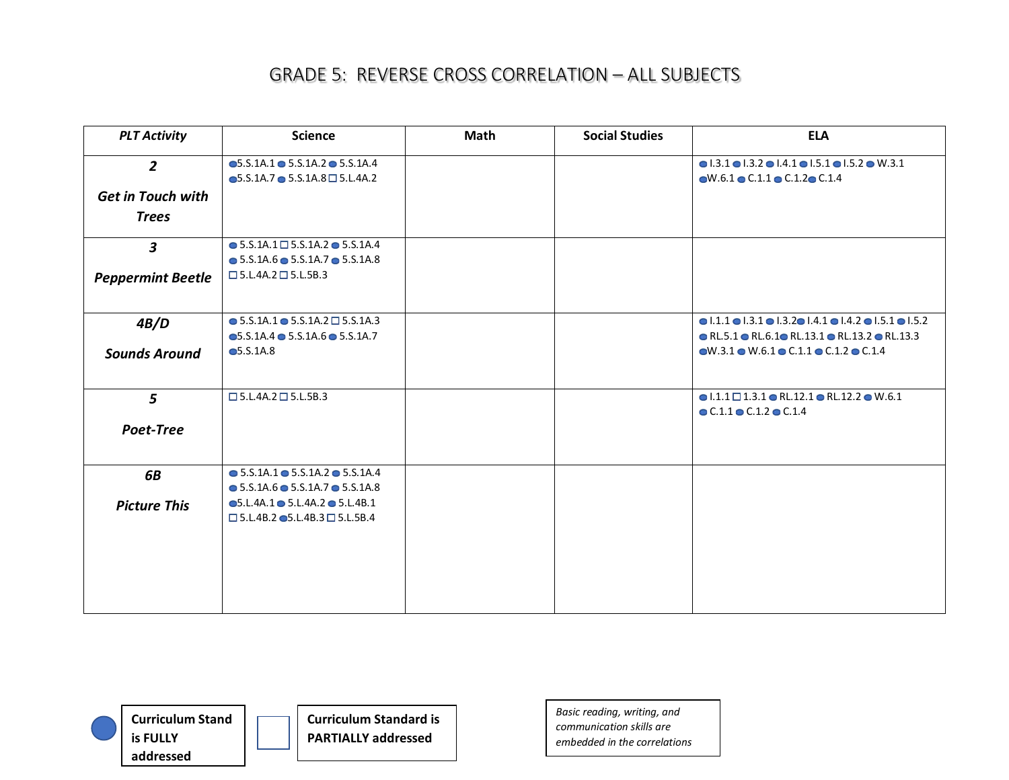| <b>PLT Activity</b>      | <b>Science</b>                                           | <b>Math</b> | <b>Social Studies</b> | <b>ELA</b>                                                                                                      |
|--------------------------|----------------------------------------------------------|-------------|-----------------------|-----------------------------------------------------------------------------------------------------------------|
| $\overline{2}$           | $\bullet$ 5.S.1A.1 $\bullet$ 5.S.1A.2 $\bullet$ 5.S.1A.4 |             |                       | $\bullet$ 1.3.1 $\bullet$ 1.3.2 $\bullet$ 1.4.1 $\bullet$ 1.5.1 $\bullet$ 1.5.2 $\bullet$ W.3.1                 |
|                          | $\bullet$ 5.S.1A.7 $\bullet$ 5.S.1A.8 $\Box$ 5.L.4A.2    |             |                       | $\bullet$ W.6.1 $\bullet$ C.1.1 $\bullet$ C.1.2 $\bullet$ C.1.4                                                 |
| <b>Get in Touch with</b> |                                                          |             |                       |                                                                                                                 |
| <b>Trees</b>             |                                                          |             |                       |                                                                                                                 |
| $\mathbf{3}$             | $\bullet$ 5.S.1A.1 $\Box$ 5.S.1A.2 $\bullet$ 5.S.1A.4    |             |                       |                                                                                                                 |
|                          | $\bullet$ 5.S.1A.6 $\bullet$ 5.S.1A.7 $\bullet$ 5.S.1A.8 |             |                       |                                                                                                                 |
| <b>Peppermint Beetle</b> | $\square$ 5.L.4A.2 $\square$ 5.L.5B.3                    |             |                       |                                                                                                                 |
| 4B/D                     | $\bullet$ 5.S.1A.1 $\bullet$ 5.S.1A.2 $\Box$ 5.S.1A.3    |             |                       | $\bullet$ 1.1.1 $\bullet$ 1.3.1 $\bullet$ 1.3.2 $\bullet$ 1.4.1 $\bullet$ 1.4.2 $\bullet$ 1.5.1 $\bullet$ 1.5.2 |
|                          | $\bullet$ 5.S.1A.4 $\bullet$ 5.S.1A.6 $\bullet$ 5.S.1A.7 |             |                       | $\bullet$ RL.5.1 $\bullet$ RL.6.1 $\bullet$ RL.13.1 $\bullet$ RL.13.2 $\bullet$ RL.13.3                         |
| <b>Sounds Around</b>     | •5.5.1A.8                                                |             |                       | $\bullet$ W.3.1 $\bullet$ W.6.1 $\bullet$ C.1.1 $\bullet$ C.1.2 $\bullet$ C.1.4                                 |
| 5 <sup>5</sup>           | $\square$ 5.L.4A.2 $\square$ 5.L.5B.3                    |             |                       | $\bullet$ 1.1.1 $\Box$ 1.3.1 $\bullet$ RL.12.1 $\bullet$ RL.12.2 $\bullet$ W.6.1                                |
|                          |                                                          |             |                       | $\bullet$ C.1.1 $\bullet$ C.1.2 $\bullet$ C.1.4                                                                 |
| Poet-Tree                |                                                          |             |                       |                                                                                                                 |
| 6B                       | $\bullet$ 5.S.1A.1 $\bullet$ 5.S.1A.2 $\bullet$ 5.S.1A.4 |             |                       |                                                                                                                 |
|                          | $\bullet$ 5.S.1A.6 $\bullet$ 5.S.1A.7 $\bullet$ 5.S.1A.8 |             |                       |                                                                                                                 |
| <b>Picture This</b>      | $\bullet$ 5.L.4A.1 $\bullet$ 5.L.4A.2 $\bullet$ 5.L.4B.1 |             |                       |                                                                                                                 |
|                          | $\square$ 5.L.4B.2 $\bullet$ 5.L.4B.3 $\square$ 5.L.5B.4 |             |                       |                                                                                                                 |
|                          |                                                          |             |                       |                                                                                                                 |
|                          |                                                          |             |                       |                                                                                                                 |
|                          |                                                          |             |                       |                                                                                                                 |
|                          |                                                          |             |                       |                                                                                                                 |
|                          |                                                          |             |                       |                                                                                                                 |



**Curriculum Standard is PARTIALLY addressed**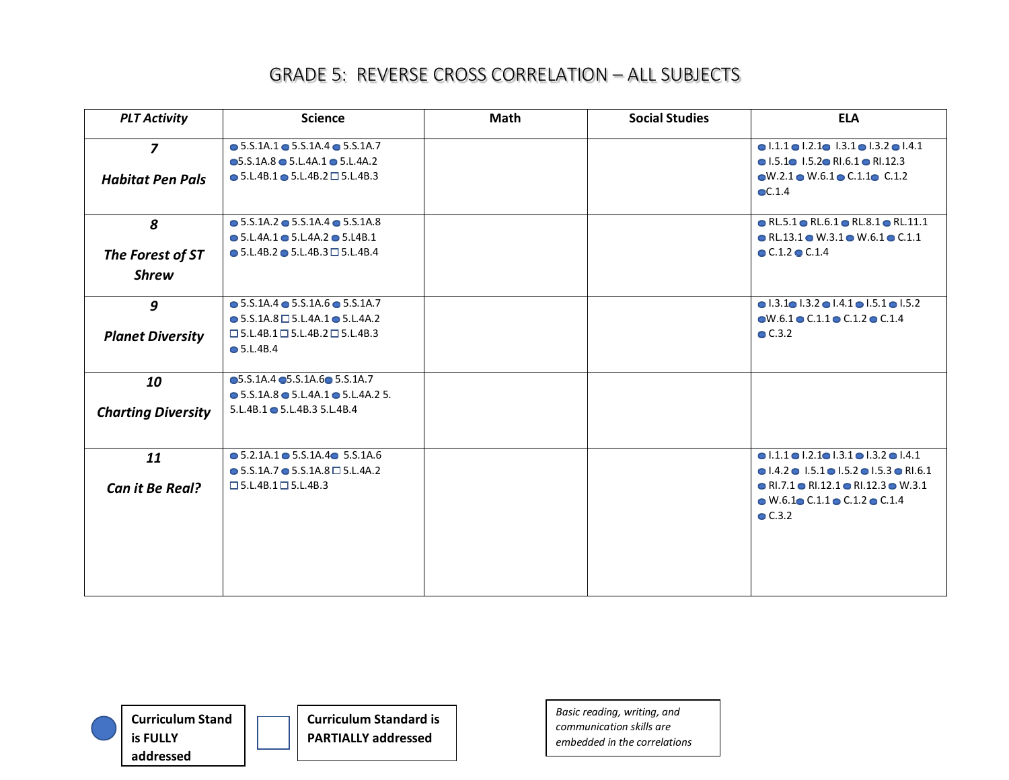| <b>PLT Activity</b>       | <b>Science</b>                                              | <b>Math</b> | <b>Social Studies</b> | <b>ELA</b>                                                                       |
|---------------------------|-------------------------------------------------------------|-------------|-----------------------|----------------------------------------------------------------------------------|
| $\overline{z}$            | $\bullet$ 5.S.1A.1 $\bullet$ 5.S.1A.4 $\bullet$ 5.S.1A.7    |             |                       | $\bullet$ 1.1.1 $\bullet$ 1.2.1 $\bullet$ 1.3.1 $\bullet$ 1.3.2 $\bullet$ 1.4.1  |
|                           | $\bullet$ 5.S.1A.8 $\bullet$ 5.L.4A.1 $\bullet$ 5.L.4A.2    |             |                       | $\bullet$ 1.5.1 $\bullet$ 1.5.2 $\bullet$ RI.6.1 $\bullet$ RI.12.3               |
| <b>Habitat Pen Pals</b>   | $\bullet$ 5.L.4B.1 $\bullet$ 5.L.4B.2 $\Box$ 5.L.4B.3       |             |                       | $\bullet$ W.2.1 $\bullet$ W.6.1 $\bullet$ C.1.1 $\bullet$ C.1.2                  |
|                           |                                                             |             |                       | $\odot$ C.1.4                                                                    |
| 8                         | $\bullet$ 5.S.1A.2 $\bullet$ 5.S.1A.4 $\bullet$ 5.S.1A.8    |             |                       | $\bullet$ RL.5.1 $\bullet$ RL.6.1 $\bullet$ RL.8.1 $\bullet$ RL.11.1             |
|                           | $\bullet$ 5.L.4A.1 $\bullet$ 5.L.4A.2 $\bullet$ 5.L4B.1     |             |                       | $\bullet$ RL.13.1 $\bullet$ W.3.1 $\bullet$ W.6.1 $\bullet$ C.1.1                |
| The Forest of ST          | $\bullet$ 5.L.4B.2 $\bullet$ 5.L.4B.3 $\Box$ 5.L.4B.4       |             |                       | $\bullet$ C.1.2 $\bullet$ C.1.4                                                  |
| <b>Shrew</b>              |                                                             |             |                       |                                                                                  |
| 9                         | $\bullet$ 5.S.1A.4 $\bullet$ 5.S.1A.6 $\bullet$ 5.S.1A.7    |             |                       | $\bullet$ 1.3.1 $\bullet$ 1.3.2 $\bullet$ 1.4.1 $\bullet$ 1.5.1 $\bullet$ 1.5.2  |
|                           | $\bullet$ 5.S.1A.8 $\Box$ 5.L.4A.1 $\bullet$ 5.L.4A.2       |             |                       | $\bullet$ W.6.1 $\bullet$ C.1.1 $\bullet$ C.1.2 $\bullet$ C.1.4                  |
| <b>Planet Diversity</b>   | $\square$ 5.L.4B.1 $\square$ 5.L.4B.2 $\square$ 5.L.4B.3    |             |                       | $\bullet$ C.3.2                                                                  |
|                           | $\bullet$ 5.L.4B.4                                          |             |                       |                                                                                  |
| 10                        | $\bullet$ 5.S.1A.4 $\bullet$ 5.S.1A.6 $\bullet$ 5.S.1A.7    |             |                       |                                                                                  |
|                           | $\bullet$ 5.S.1A.8 $\bullet$ 5.L.4A.1 $\bullet$ 5.L.4A.2 5. |             |                       |                                                                                  |
| <b>Charting Diversity</b> | 5.L.4B.1 • 5.L.4B.3 5.L.4B.4                                |             |                       |                                                                                  |
| 11                        | $\bullet$ 5.2.1A.1 $\bullet$ 5.S.1A.4 $\bullet$ 5.S.1A.6    |             |                       | $\bullet$ 1.1.1 $\bullet$ 1.2.1 $\bullet$ 1.3.1 $\bullet$ 1.3.2 $\bullet$ 1.4.1  |
|                           | $\bullet$ 5.S.1A.7 $\bullet$ 5.S.1A.8 $\Box$ 5.L.4A.2       |             |                       | $\bullet$ 1.4.2 $\bullet$ 1.5.1 $\bullet$ 1.5.2 $\bullet$ 1.5.3 $\bullet$ RI.6.1 |
| Can it Be Real?           | $\square$ 5.L.4B.1 $\square$ 5.L.4B.3                       |             |                       | $\bullet$ RI.7.1 $\bullet$ RI.12.1 $\bullet$ RI.12.3 $\bullet$ W.3.1             |
|                           |                                                             |             |                       | $\bullet$ W.6.1 $\bullet$ C.1.1 $\bullet$ C.1.2 $\bullet$ C.1.4                  |
|                           |                                                             |             |                       | $\bullet$ C.3.2                                                                  |
|                           |                                                             |             |                       |                                                                                  |
|                           |                                                             |             |                       |                                                                                  |
|                           |                                                             |             |                       |                                                                                  |
|                           |                                                             |             |                       |                                                                                  |



**Curriculum Standard is PARTIALLY addressed**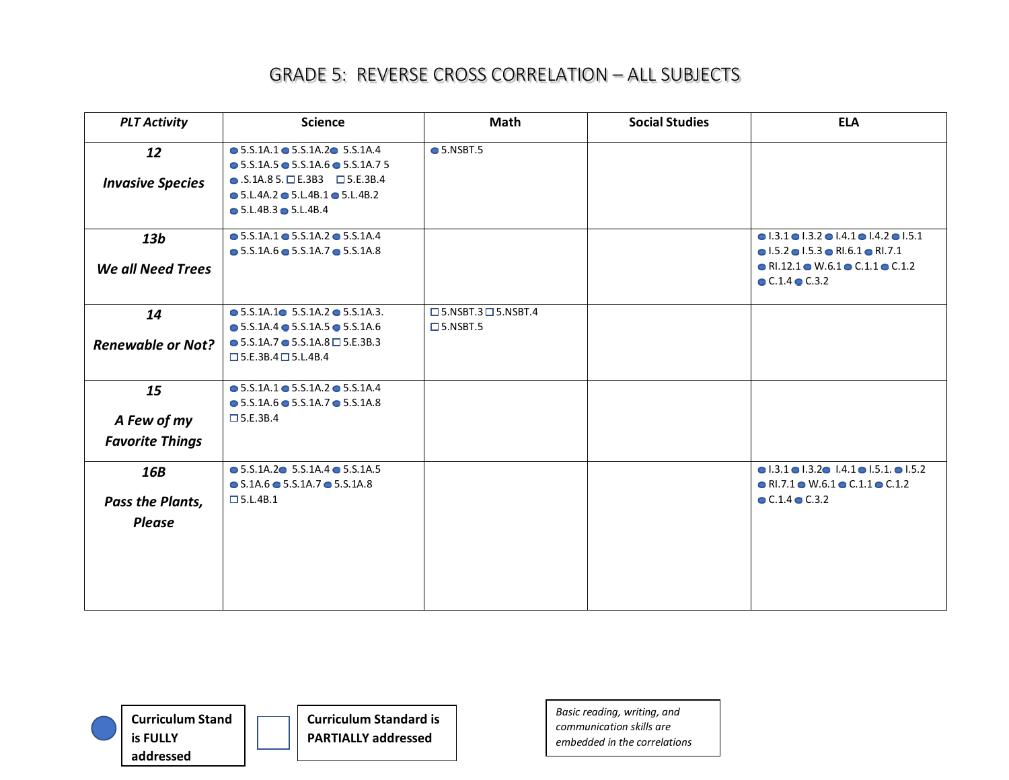| <b>PLT Activity</b>                   | <b>Science</b>                                                                                                                                                                                                             | <b>Math</b>                                           | <b>Social Studies</b> | <b>ELA</b>                                                                                                                                           |
|---------------------------------------|----------------------------------------------------------------------------------------------------------------------------------------------------------------------------------------------------------------------------|-------------------------------------------------------|-----------------------|------------------------------------------------------------------------------------------------------------------------------------------------------|
| 12<br><b>Invasive Species</b>         | $\bullet$ 5.S.1A.1 $\bullet$ 5.S.1A.2 $\bullet$ 5.S.1A.4<br>$\bullet$ 5.S.1A.5 $\bullet$ 5.S.1A.6 $\bullet$ 5.S.1A.7 5<br>$\bullet$ .S.1A.85. DE.3B3 D5.E.3B.4<br>$\bullet$ 5.L.4A.2 $\bullet$ 5.L.4B.1 $\bullet$ 5.L.4B.2 | $\bullet$ 5.NSBT.5                                    |                       |                                                                                                                                                      |
|                                       | $\bullet$ 5.L.4B.3 $\bullet$ 5.L.4B.4                                                                                                                                                                                      |                                                       |                       |                                                                                                                                                      |
| 13 <sub>b</sub>                       | $\bullet$ 5.S.1A.1 $\bullet$ 5.S.1A.2 $\bullet$ 5.S.1A.4<br>$\bullet$ 5.S.1A.6 $\bullet$ 5.S.1A.7 $\bullet$ 5.S.1A.8                                                                                                       |                                                       |                       | $\bullet$ 1.3.1 $\bullet$ 1.3.2 $\bullet$ 1.4.1 $\bullet$ 1.4.2 $\bullet$ 1.5.1<br>$\bullet$ 1.5.2 $\bullet$ 1.5.3 $\bullet$ RI.6.1 $\bullet$ RI.7.1 |
| <b>We all Need Trees</b>              |                                                                                                                                                                                                                            |                                                       |                       | $\bullet$ RI.12.1 $\bullet$ W.6.1 $\bullet$ C.1.1 $\bullet$ C.1.2<br>$\bullet$ C.1.4 $\bullet$ C.3.2                                                 |
| 14                                    | $\bullet$ 5.S.1A.1 $\bullet$ 5.S.1A.2 $\bullet$ 5.S.1A.3.                                                                                                                                                                  | $\Box$ 5.NSBT.3 $\Box$ 5.NSBT.4<br>$\square$ 5.NSBT.5 |                       |                                                                                                                                                      |
| <b>Renewable or Not?</b>              | $\bullet$ 5.S.1A.4 $\bullet$ 5.S.1A.5 $\bullet$ 5.S.1A.6<br>$\bullet$ 5.S.1A.7 $\bullet$ 5.S.1A.8 $\Box$ 5.E.3B.3<br>$\square$ 5.E.3B.4 $\square$ 5.L.4B.4                                                                 |                                                       |                       |                                                                                                                                                      |
| 15                                    | $\bullet$ 5.S.1A.1 $\bullet$ 5.S.1A.2 $\bullet$ 5.S.1A.4<br>$\bullet$ 5.S.1A.6 $\bullet$ 5.S.1A.7 $\bullet$ 5.S.1A.8<br>$\square$ 5.E.3B.4                                                                                 |                                                       |                       |                                                                                                                                                      |
| A Few of my<br><b>Favorite Things</b> |                                                                                                                                                                                                                            |                                                       |                       |                                                                                                                                                      |
| 16B                                   | $\bullet$ 5.S.1A.2 $\bullet$ 5.S.1A.4 $\bullet$ 5.S.1A.5<br>$\bullet$ S.1A.6 $\bullet$ 5.S.1A.7 $\bullet$ 5.S.1A.8                                                                                                         |                                                       |                       | $\bullet$ 1.3.1 $\bullet$ 1.3.2 $\bullet$ 1.4.1 $\bullet$ 1.5.1. $\bullet$ 1.5.2<br>$\bullet$ RI.7.1 $\bullet$ W.6.1 $\bullet$ C.1.1 $\bullet$ C.1.2 |
| Pass the Plants,                      | $\square$ 5.L.4B.1                                                                                                                                                                                                         |                                                       |                       | $C.1.4$ $C.3.2$                                                                                                                                      |
| <b>Please</b>                         |                                                                                                                                                                                                                            |                                                       |                       |                                                                                                                                                      |

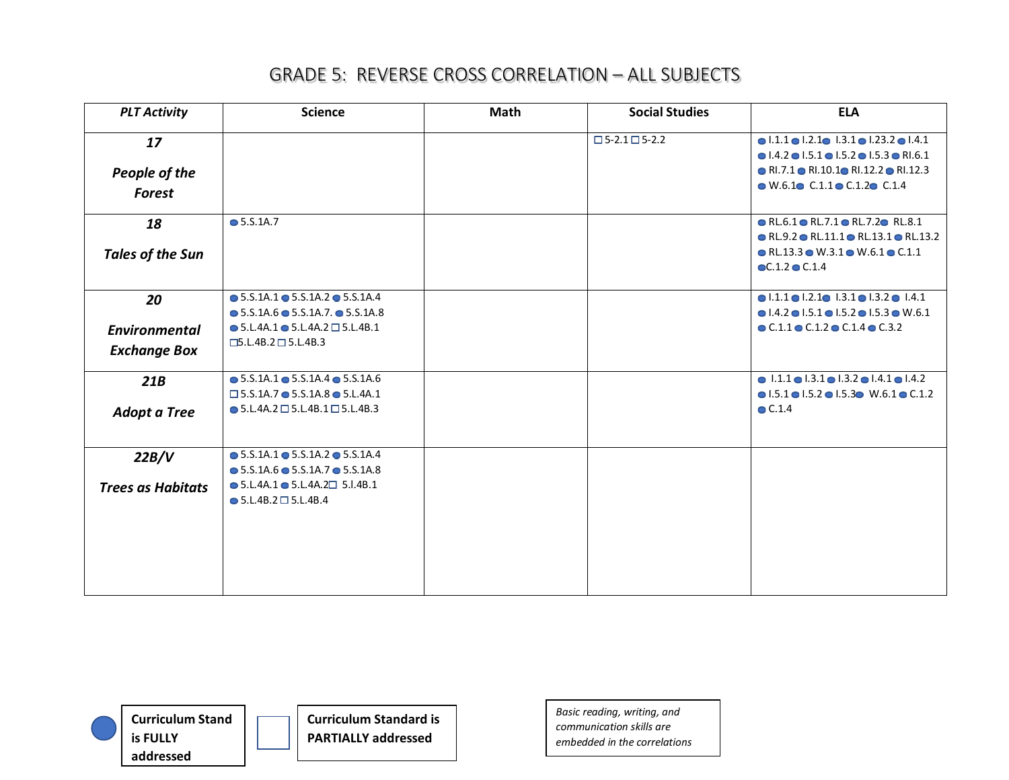| <b>PLT Activity</b>      | <b>Science</b>                                            | <b>Math</b> | <b>Social Studies</b>           | <b>ELA</b>                                                                       |
|--------------------------|-----------------------------------------------------------|-------------|---------------------------------|----------------------------------------------------------------------------------|
| 17                       |                                                           |             | $\square$ 5-2.1 $\square$ 5-2.2 | $\bullet$ 1.1.1 $\bullet$ 1.2.1 $\bullet$ 1.3.1 $\bullet$ 1.23.2 $\bullet$ 1.4.1 |
|                          |                                                           |             |                                 | $\bullet$ 1.4.2 $\bullet$ 1.5.1 $\bullet$ 1.5.2 $\bullet$ 1.5.3 $\bullet$ RI.6.1 |
| People of the            |                                                           |             |                                 | • RI.7.1 • RI.10.1 • RI.12.2 • RI.12.3                                           |
| <b>Forest</b>            |                                                           |             |                                 | $\bullet$ W.6.1 $\bullet$ C.1.1 $\bullet$ C.1.2 $\bullet$ C.1.4                  |
| 18                       | • 5.5.1A.7                                                |             |                                 | $\bullet$ RL.6.1 $\bullet$ RL.7.1 $\bullet$ RL.7.2 $\bullet$ RL.8.1              |
|                          |                                                           |             |                                 | $\bullet$ RL.9.2 $\bullet$ RL.11.1 $\bullet$ RL.13.1 $\bullet$ RL.13.2           |
| <b>Tales of the Sun</b>  |                                                           |             |                                 | $\bullet$ RL.13.3 $\bullet$ W.3.1 $\bullet$ W.6.1 $\bullet$ C.1.1                |
|                          |                                                           |             |                                 | $\bullet$ C.1.2 $\bullet$ C.1.4                                                  |
| 20                       | $\bullet$ 5.S.1A.1 $\bullet$ 5.S.1A.2 $\bullet$ 5.S.1A.4  |             |                                 | $\bullet$ 1.1.1 $\bullet$ 1.2.1 $\bullet$ 1.3.1 $\bullet$ 1.3.2 $\bullet$ 1.4.1  |
|                          | $\bullet$ 5.S.1A.6 $\bullet$ 5.S.1A.7. $\bullet$ 5.S.1A.8 |             |                                 | $\bullet$ 1.4.2 $\bullet$ 1.5.1 $\bullet$ 1.5.2 $\bullet$ 1.5.3 $\bullet$ W.6.1  |
| <b>Environmental</b>     | $\bullet$ 5.L.4A.1 $\bullet$ 5.L.4A.2 $\Box$ 5.L.4B.1     |             |                                 | $\bullet$ C.1.1 $\bullet$ C.1.2 $\bullet$ C.1.4 $\bullet$ C.3.2                  |
| <b>Exchange Box</b>      | $\square$ 5.L.4B.2 $\square$ 5.L.4B.3                     |             |                                 |                                                                                  |
|                          |                                                           |             |                                 |                                                                                  |
| 21B                      | $\bullet$ 5.S.1A.1 $\bullet$ 5.S.1A.4 $\bullet$ 5.S.1A.6  |             |                                 | $\bullet$ 1.1.1 $\bullet$ 1.3.1 $\bullet$ 1.3.2 $\bullet$ 1.4.1 $\bullet$ 1.4.2  |
|                          | $\Box$ 5.S.1A.7 $\bullet$ 5.S.1A.8 $\bullet$ 5.L.4A.1     |             |                                 | $\bullet$ 1.5.1 $\bullet$ 1.5.2 $\bullet$ 1.5.3 $\bullet$ W.6.1 $\bullet$ C.1.2  |
| <b>Adopt a Tree</b>      | $\bullet$ 5.L.4A.2 $\Box$ 5.L.4B.1 $\Box$ 5.L.4B.3        |             |                                 | $\bullet$ C.1.4                                                                  |
| 22B/V                    | $\bullet$ 5.S.1A.1 $\bullet$ 5.S.1A.2 $\bullet$ 5.S.1A.4  |             |                                 |                                                                                  |
|                          | $\bullet$ 5.S.1A.6 $\bullet$ 5.S.1A.7 $\bullet$ 5.S.1A.8  |             |                                 |                                                                                  |
| <b>Trees as Habitats</b> | $\bullet$ 5.L.4A.1 $\bullet$ 5.L.4A.2 $\Box$ 5.I.4B.1     |             |                                 |                                                                                  |
|                          | $\bullet$ 5.L.4B.2 $\Box$ 5.L.4B.4                        |             |                                 |                                                                                  |
|                          |                                                           |             |                                 |                                                                                  |
|                          |                                                           |             |                                 |                                                                                  |
|                          |                                                           |             |                                 |                                                                                  |
|                          |                                                           |             |                                 |                                                                                  |
|                          |                                                           |             |                                 |                                                                                  |



**Curriculum Standard is PARTIALLY addressed**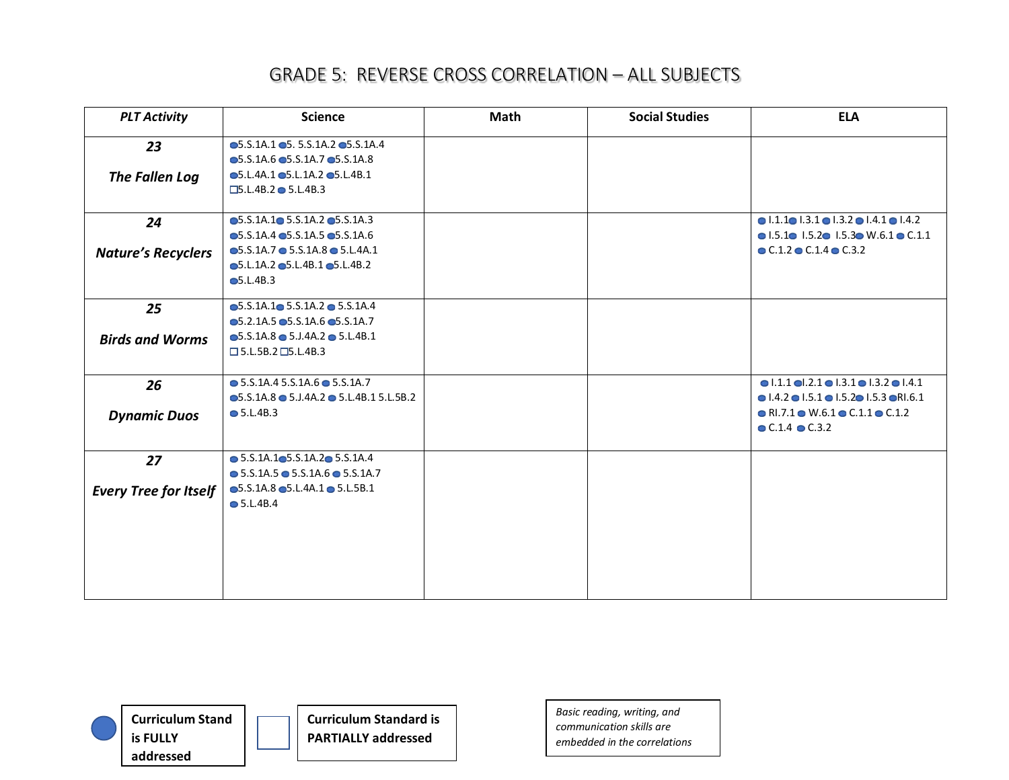| <b>PLT Activity</b>                | <b>Science</b>                                                                                                                                                                                                                                                     | <b>Math</b> | <b>Social Studies</b> | <b>ELA</b>                                                                                                                                                                                                                                                                 |
|------------------------------------|--------------------------------------------------------------------------------------------------------------------------------------------------------------------------------------------------------------------------------------------------------------------|-------------|-----------------------|----------------------------------------------------------------------------------------------------------------------------------------------------------------------------------------------------------------------------------------------------------------------------|
| 23<br>The Fallen Log               | $\bullet$ 5.S.1A.1 $\bullet$ 5. 5.S.1A.2 $\bullet$ 5.S.1A.4<br>$\bullet$ 5.S.1A.6 $\bullet$ 5.S.1A.7 $\bullet$ 5.S.1A.8<br>$\bullet$ 5.L.4A.1 $\bullet$ 5.L.1A.2 $\bullet$ 5.L.4B.1<br>$\Box$ 5.L.4B.2 $\bullet$ 5.L.4B.3                                          |             |                       |                                                                                                                                                                                                                                                                            |
| 24<br><b>Nature's Recyclers</b>    | $\bullet$ 5.S.1A.1 $\bullet$ 5.S.1A.2 $\bullet$ 5.S.1A.3<br>$\bullet$ 5.S.1A.4 $\bullet$ 5.S.1A.5 $\bullet$ 5.S.1A.6<br>$\bullet$ 5.S.1A.7 $\bullet$ 5.S.1A.8 $\bullet$ 5.L.4A.1<br>$\bullet$ 5.L.1A.2 $\bullet$ 5.L.4B.1 $\bullet$ 5.L.4B.2<br>$\bullet$ 5.L.4B.3 |             |                       | $\bullet$ 1.1.1 $\bullet$ 1.3.1 $\bullet$ 1.3.2 $\bullet$ 1.4.1 $\bullet$ 1.4.2<br>$\bullet$ 1.5.1 $\bullet$ 1.5.2 $\bullet$ 1.5.3 $\bullet$ W.6.1 $\bullet$ C.1.1<br>$\bullet$ C.1.2 $\bullet$ C.1.4 $\bullet$ C.3.2                                                      |
| 25<br><b>Birds and Worms</b>       | $\bullet$ 5.S.1A.1 $\bullet$ 5.S.1A.2 $\bullet$ 5.S.1A.4<br>$\bullet$ 5.2.1A.5 $\bullet$ 5.S.1A.6 $\bullet$ 5.S.1A.7<br>$\bullet$ 5.S.1A.8 $\bullet$ 5.J.4A.2 $\bullet$ 5.L.4B.1<br>$\square$ 5.L.5B.2 $\square$ 5.L.4B.3                                          |             |                       |                                                                                                                                                                                                                                                                            |
| 26<br><b>Dynamic Duos</b>          | $\bullet$ 5.S.1A.4 5.S.1A.6 $\bullet$ 5.S.1A.7<br>$\bullet$ 5.S.1A.8 $\bullet$ 5.J.4A.2 $\bullet$ 5.L.4B.1 5.L.5B.2<br>$\bullet$ 5.L.4B.3                                                                                                                          |             |                       | $\bullet$ 1.1.1 $\bullet$ 1.2.1 $\bullet$ 1.3.1 $\bullet$ 1.3.2 $\bullet$ 1.4.1<br>$\bullet$ 1.4.2 $\bullet$ 1.5.1 $\bullet$ 1.5.2 $\bullet$ 1.5.3 $\bullet$ R1.6.1<br>$\bullet$ RI.7.1 $\bullet$ W.6.1 $\bullet$ C.1.1 $\bullet$ C.1.2<br>$\bullet$ C.1.4 $\bullet$ C.3.2 |
| 27<br><b>Every Tree for Itself</b> | $\bullet$ 5.S.1A.1 $\bullet$ 5.S.1A.2 $\bullet$ 5.S.1A.4<br>$\bullet$ 5.S.1A.5 $\bullet$ 5.S.1A.6 $\bullet$ 5.S.1A.7<br>$\bullet$ 5.S.1A.8 $\bullet$ 5.L.4A.1 $\bullet$ 5.L.5B.1<br>$\bullet$ 5.L.4B.4                                                             |             |                       |                                                                                                                                                                                                                                                                            |



**Curriculum Standard is PARTIALLY addressed**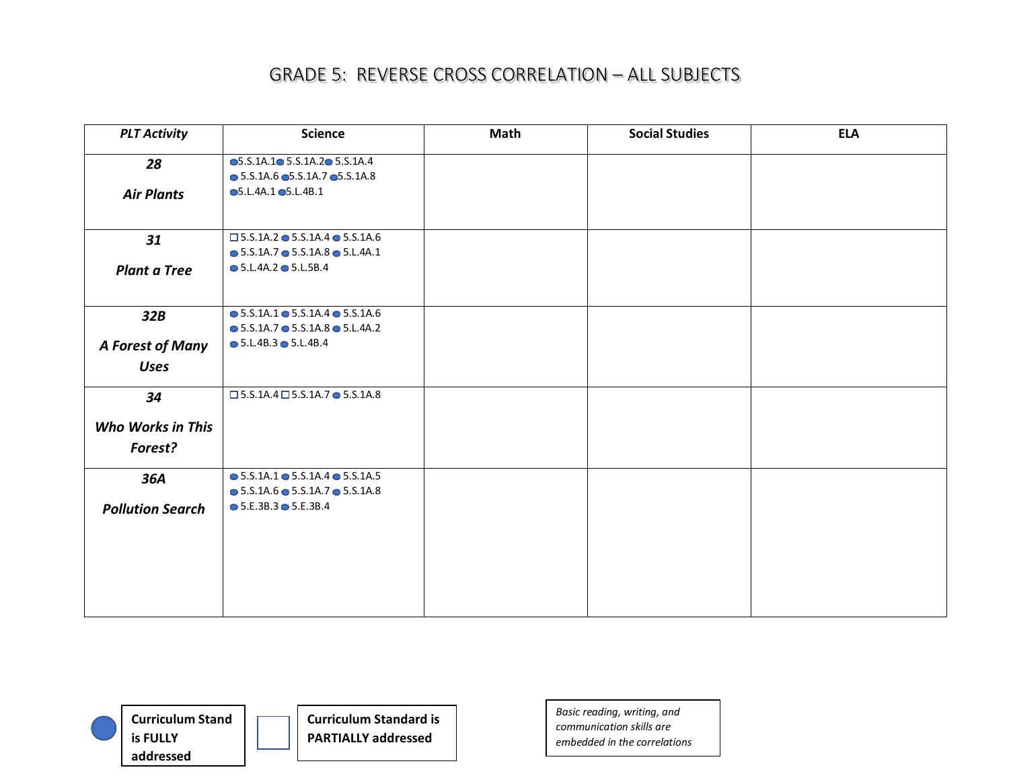| <b>PLT Activity</b>      | <b>Science</b>                                           | Math | <b>Social Studies</b> | <b>ELA</b> |
|--------------------------|----------------------------------------------------------|------|-----------------------|------------|
| 28                       | $\bullet$ 5.S.1A.1 $\bullet$ 5.S.1A.2 $\bullet$ 5.S.1A.4 |      |                       |            |
|                          | $\bullet$ 5.S.1A.6 $\bullet$ 5.S.1A.7 $\bullet$ 5.S.1A.8 |      |                       |            |
| <b>Air Plants</b>        | $\bullet$ 5.L.4A.1 $\bullet$ 5.L.4B.1                    |      |                       |            |
|                          |                                                          |      |                       |            |
| 31                       | $\square$ 5.S.1A.2 $\bullet$ 5.S.1A.4 $\bullet$ 5.S.1A.6 |      |                       |            |
|                          | $\bullet$ 5.S.1A.7 $\bullet$ 5.S.1A.8 $\bullet$ 5.L.4A.1 |      |                       |            |
| <b>Plant a Tree</b>      | $\bullet$ 5.L.4A.2 $\bullet$ 5.L.5B.4                    |      |                       |            |
|                          |                                                          |      |                       |            |
| 32B                      | $\bullet$ 5.S.1A.1 $\bullet$ 5.S.1A.4 $\bullet$ 5.S.1A.6 |      |                       |            |
|                          | $\bullet$ 5.S.1A.7 $\bullet$ 5.S.1A.8 $\bullet$ 5.L.4A.2 |      |                       |            |
| A Forest of Many         | $\bullet$ 5.L.4B.3 $\bullet$ 5.L.4B.4                    |      |                       |            |
| <b>Uses</b>              |                                                          |      |                       |            |
| 34                       | $\square$ 5.S.1A.4 $\square$ 5.S.1A.7 $\bullet$ 5.S.1A.8 |      |                       |            |
| <b>Who Works in This</b> |                                                          |      |                       |            |
| Forest?                  |                                                          |      |                       |            |
| 36A                      | $\bullet$ 5.S.1A.1 $\bullet$ 5.S.1A.4 $\bullet$ 5.S.1A.5 |      |                       |            |
|                          | $\bullet$ 5.S.1A.6 $\bullet$ 5.S.1A.7 $\bullet$ 5.S.1A.8 |      |                       |            |
| <b>Pollution Search</b>  | $\bullet$ 5.E.3B.3 $\bullet$ 5.E.3B.4                    |      |                       |            |
|                          |                                                          |      |                       |            |
|                          |                                                          |      |                       |            |
|                          |                                                          |      |                       |            |
|                          |                                                          |      |                       |            |
|                          |                                                          |      |                       |            |
|                          |                                                          |      |                       |            |



**Curriculum Standard is PARTIALLY addressed**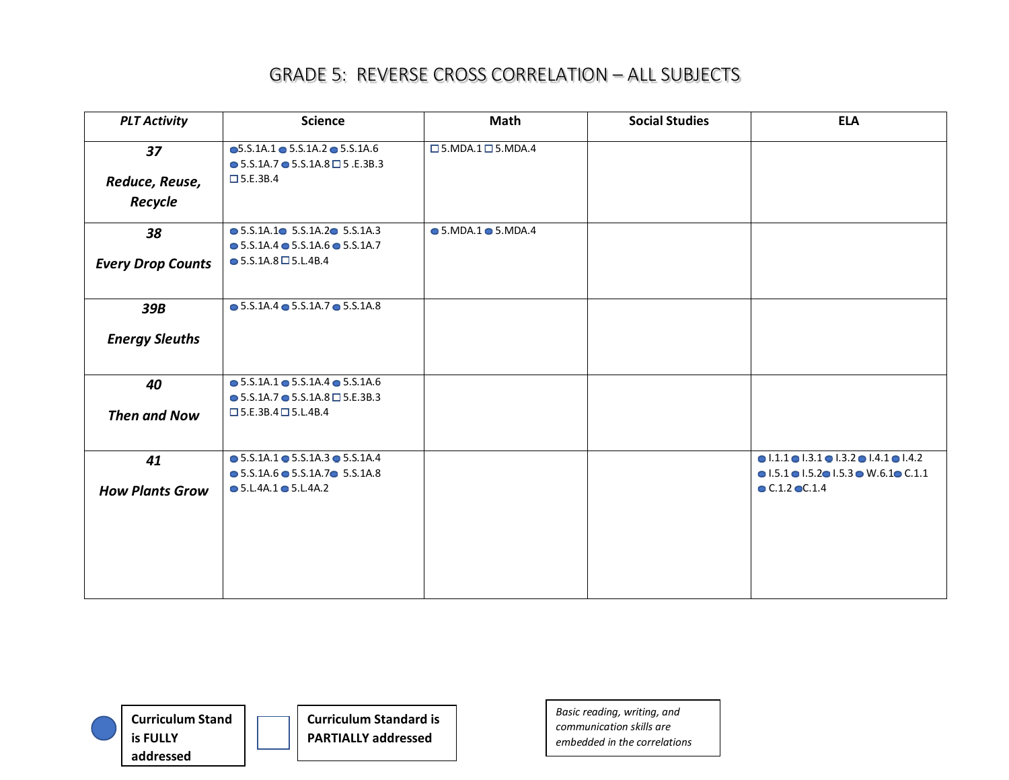| <b>PLT Activity</b>       | <b>Science</b>                                                                                                                           | Math                                    | <b>Social Studies</b> | <b>ELA</b>                                                                                                                                                         |
|---------------------------|------------------------------------------------------------------------------------------------------------------------------------------|-----------------------------------------|-----------------------|--------------------------------------------------------------------------------------------------------------------------------------------------------------------|
| 37                        | $\bullet$ 5.S.1A.1 $\bullet$ 5.S.1A.2 $\bullet$ 5.S.1A.6<br>$\bullet$ 5.S.1A.7 $\bullet$ 5.S.1A.8 $\Box$ 5 .E.3B.3<br>$\square$ 5.E.3B.4 | $\square$ 5. MDA. 1 $\square$ 5. MDA. 4 |                       |                                                                                                                                                                    |
| Reduce, Reuse,<br>Recycle |                                                                                                                                          |                                         |                       |                                                                                                                                                                    |
| 38                        | $\bullet$ 5.S.1A.1 $\bullet$ 5.S.1A.2 $\bullet$ 5.S.1A.3<br>$\bullet$ 5.S.1A.4 $\bullet$ 5.S.1A.6 $\bullet$ 5.S.1A.7                     | $\bullet$ 5.MDA.1 $\bullet$ 5.MDA.4     |                       |                                                                                                                                                                    |
| <b>Every Drop Counts</b>  | $\bullet$ 5.S.1A.8 $\Box$ 5.L.4B.4                                                                                                       |                                         |                       |                                                                                                                                                                    |
| 39B                       | $\bullet$ 5.S.1A.4 $\bullet$ 5.S.1A.7 $\bullet$ 5.S.1A.8                                                                                 |                                         |                       |                                                                                                                                                                    |
| <b>Energy Sleuths</b>     |                                                                                                                                          |                                         |                       |                                                                                                                                                                    |
| 40                        | $\bullet$ 5.S.1A.1 $\bullet$ 5.S.1A.4 $\bullet$ 5.S.1A.6<br>$\bullet$ 5.S.1A.7 $\bullet$ 5.S.1A.8 $\Box$ 5.E.3B.3                        |                                         |                       |                                                                                                                                                                    |
| <b>Then and Now</b>       | $\square$ 5.E.3B.4 $\square$ 5.L.4B.4                                                                                                    |                                         |                       |                                                                                                                                                                    |
| 41                        | $\bullet$ 5.S.1A.1 $\bullet$ 5.S.1A.3 $\bullet$ 5.S.1A.4<br>$\bullet$ 5.S.1A.6 $\bullet$ 5.S.1A.7 $\bullet$ 5.S.1A.8                     |                                         |                       | $\bullet$ 1.1.1 $\bullet$ 1.3.1 $\bullet$ 1.3.2 $\bullet$ 1.4.1 $\bullet$ 1.4.2<br>$\bullet$ 1.5.1 $\bullet$ 1.5.2 $\bullet$ 1.5.3 $\bullet$ W.6.1 $\bullet$ C.1.1 |
| <b>How Plants Grow</b>    | $\bullet$ 5.L.4A.1 $\bullet$ 5.L.4A.2                                                                                                    |                                         |                       | $\bullet$ C.1.2 $\bullet$ C.1.4                                                                                                                                    |



**Curriculum Standard is PARTIALLY addressed**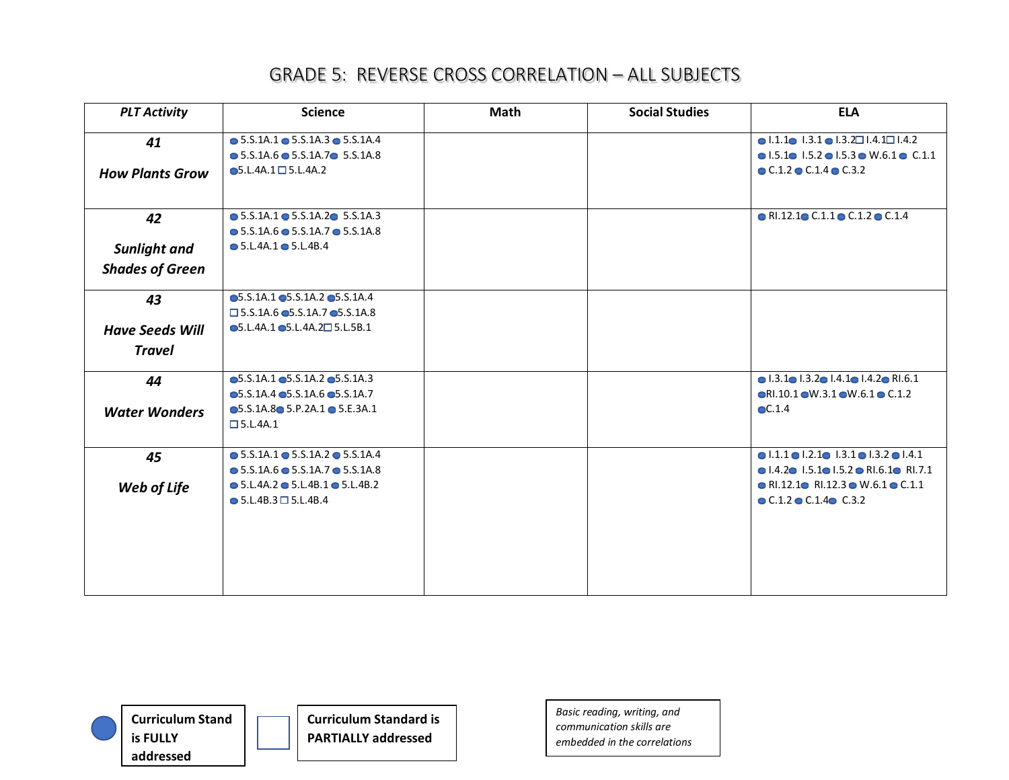| <b>PLT Activity</b>    | <b>Science</b>                                           | <b>Math</b> | <b>Social Studies</b> | <b>ELA</b>                                                                        |
|------------------------|----------------------------------------------------------|-------------|-----------------------|-----------------------------------------------------------------------------------|
| 41                     | $\bullet$ 5.S.1A.1 $\bullet$ 5.S.1A.3 $\bullet$ 5.S.1A.4 |             |                       | $\bullet$ 1.1.1 $\bullet$ 1.3.1 $\bullet$ 1.3.2 $\Box$ 1.4.1 $\Box$ 1.4.2         |
|                        | $\bullet$ 5.S.1A.6 $\bullet$ 5.S.1A.7 $\bullet$ 5.S.1A.8 |             |                       | $\bullet$ 1.5.1 $\bullet$ 1.5.2 $\bullet$ 1.5.3 $\bullet$ W.6.1 $\bullet$ C.1.1   |
| <b>How Plants Grow</b> | $\bullet$ 5.L.4A.1 $\square$ 5.L.4A.2                    |             |                       | $\bullet$ C.1.2 $\bullet$ C.1.4 $\bullet$ C.3.2                                   |
|                        |                                                          |             |                       |                                                                                   |
| 42                     | $\bullet$ 5.S.1A.1 $\bullet$ 5.S.1A.2 $\bullet$ 5.S.1A.3 |             |                       | $\bullet$ RI.12.1 $\bullet$ C.1.1 $\bullet$ C.1.2 $\bullet$ C.1.4                 |
|                        | $\bullet$ 5.S.1A.6 $\bullet$ 5.S.1A.7 $\bullet$ 5.S.1A.8 |             |                       |                                                                                   |
| <b>Sunlight and</b>    | $\bullet$ 5.L.4A.1 $\bullet$ 5.L.4B.4                    |             |                       |                                                                                   |
| <b>Shades of Green</b> |                                                          |             |                       |                                                                                   |
| 43                     | $\bullet$ 5.S.1A.1 $\bullet$ 5.S.1A.2 $\bullet$ 5.S.1A.4 |             |                       |                                                                                   |
|                        | $\square$ 5.S.1A.6 $\odot$ 5.S.1A.7 $\odot$ 5.S.1A.8     |             |                       |                                                                                   |
| <b>Have Seeds Will</b> | $\bullet$ 5.L.4A.1 $\bullet$ 5.L.4A.2 $\square$ 5.L.5B.1 |             |                       |                                                                                   |
| <b>Travel</b>          |                                                          |             |                       |                                                                                   |
| 44                     | $\bullet$ 5.S.1A.1 $\bullet$ 5.S.1A.2 $\bullet$ 5.S.1A.3 |             |                       | $\bullet$ 1.3.1 $\bullet$ 1.3.2 $\bullet$ 1.4.1 $\bullet$ 1.4.2 $\bullet$ RI.6.1  |
|                        | $\bullet$ 5.S.1A.4 $\bullet$ 5.S.1A.6 $\bullet$ 5.S.1A.7 |             |                       | $\bullet$ RI.10.1 $\bullet$ W.3.1 $\bullet$ W.6.1 $\bullet$ C.1.2                 |
| <b>Water Wonders</b>   | $\bullet$ 5.S.1A.8 $\bullet$ 5.P.2A.1 $\bullet$ 5.E.3A.1 |             |                       | $\odot$ C.1.4                                                                     |
|                        | $\square$ 5.L.4A.1                                       |             |                       |                                                                                   |
| 45                     | $\bullet$ 5.S.1A.1 $\bullet$ 5.S.1A.2 $\bullet$ 5.S.1A.4 |             |                       | $\bullet$ 1.1.1 $\bullet$ 1.2.1 $\bullet$ 1.3.1 $\bullet$ 1.3.2 $\bullet$ 1.4.1   |
|                        | $\bullet$ 5.S.1A.6 $\bullet$ 5.S.1A.7 $\bullet$ 5.S.1A.8 |             |                       | $\bullet$ 1.4.2 $\bullet$ 1.5.1 $\bullet$ 1.5.2 $\bullet$ RI.6.1 $\bullet$ RI.7.1 |
| Web of Life            | $\bullet$ 5.L.4A.2 $\bullet$ 5.L.4B.1 $\bullet$ 5.L.4B.2 |             |                       | $\bullet$ RI.12.1 $\bullet$ RI.12.3 $\bullet$ W.6.1 $\bullet$ C.1.1               |
|                        | $\bullet$ 5.L.4B.3 $\Box$ 5.L.4B.4                       |             |                       | $\bullet$ C.1.2 $\bullet$ C.1.4 $\bullet$ C.3.2                                   |
|                        |                                                          |             |                       |                                                                                   |
|                        |                                                          |             |                       |                                                                                   |
|                        |                                                          |             |                       |                                                                                   |
|                        |                                                          |             |                       |                                                                                   |
|                        |                                                          |             |                       |                                                                                   |



**Curriculum Standard is PARTIALLY addressed**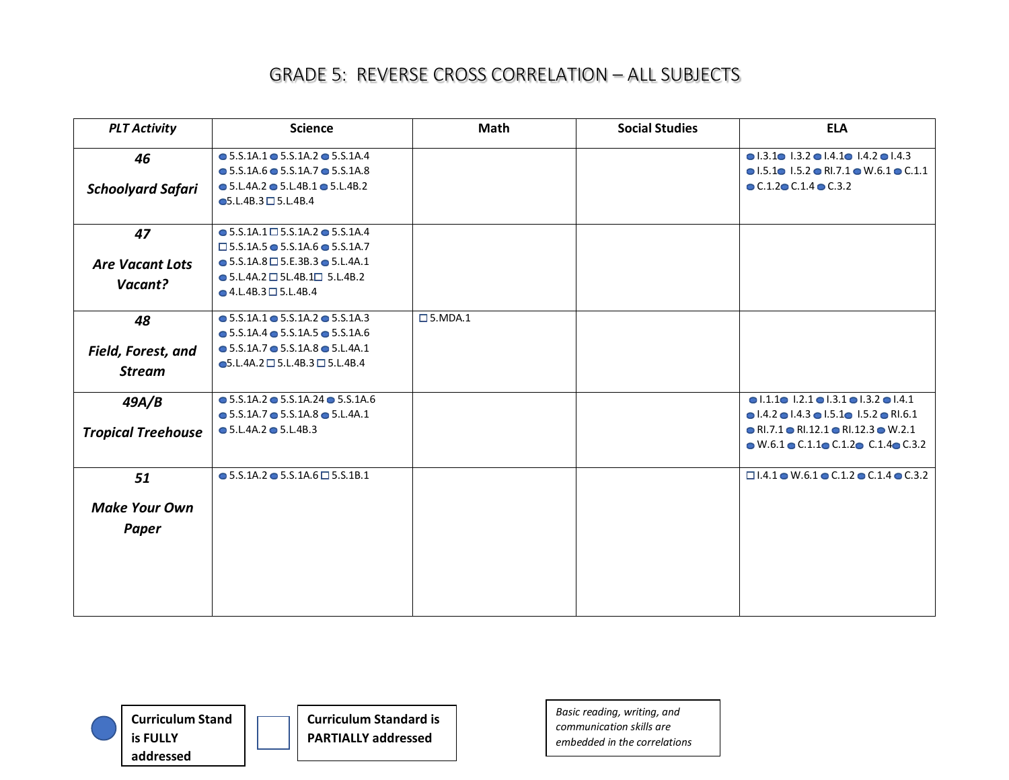| <b>PLT Activity</b>       | <b>Science</b>                                            | Math                | <b>Social Studies</b> | <b>ELA</b>                                                                       |
|---------------------------|-----------------------------------------------------------|---------------------|-----------------------|----------------------------------------------------------------------------------|
| 46                        | $\bullet$ 5.S.1A.1 $\bullet$ 5.S.1A.2 $\bullet$ 5.S.1A.4  |                     |                       | $\bullet$ 1.3.1 $\bullet$ 1.3.2 $\bullet$ 1.4.1 $\bullet$ 1.4.2 $\bullet$ 1.4.3  |
|                           | $\bullet$ 5.S.1A.6 $\bullet$ 5.S.1A.7 $\bullet$ 5.S.1A.8  |                     |                       | $\bullet$ 1.5.1 $\bullet$ 1.5.2 $\bullet$ RI.7.1 $\bullet$ W.6.1 $\bullet$ C.1.1 |
| <b>Schoolyard Safari</b>  | $\bullet$ 5.L.4A.2 $\bullet$ 5.L.4B.1 $\bullet$ 5.L.4B.2  |                     |                       | $\bullet$ C.1.2 $\bullet$ C.1.4 $\bullet$ C.3.2                                  |
|                           | $\bullet$ 5.L.4B.3 $\Box$ 5.L.4B.4                        |                     |                       |                                                                                  |
| 47                        | $\bullet$ 5.S.1A.1 $\square$ 5.S.1A.2 $\bullet$ 5.S.1A.4  |                     |                       |                                                                                  |
|                           | $\Box$ 5.S.1A.5 $\bullet$ 5.S.1A.6 $\bullet$ 5.S.1A.7     |                     |                       |                                                                                  |
| <b>Are Vacant Lots</b>    | $\bullet$ 5.S.1A.8 $\Box$ 5.E.3B.3 $\bullet$ 5.L.4A.1     |                     |                       |                                                                                  |
| Vacant?                   | $\bullet$ 5.L.4A.2 $\Box$ 5L.4B.1 $\Box$ 5.L.4B.2         |                     |                       |                                                                                  |
|                           | $\bullet$ 4.L.4B.3 $\Box$ 5.L.4B.4                        |                     |                       |                                                                                  |
| 48                        | $\bullet$ 5.S.1A.1 $\bullet$ 5.S.1A.2 $\bullet$ 5.S.1A.3  | $\square$ 5. MDA. 1 |                       |                                                                                  |
|                           | $\bullet$ 5.S.1A.4 $\bullet$ 5.S.1A.5 $\bullet$ 5.S.1A.6  |                     |                       |                                                                                  |
| Field, Forest, and        | $\bullet$ 5.S.1A.7 $\bullet$ 5.S.1A.8 $\bullet$ 5.L.4A.1  |                     |                       |                                                                                  |
| <b>Stream</b>             | $\bullet$ 5.L.4A.2 $\Box$ 5.L.4B.3 $\Box$ 5.L.4B.4        |                     |                       |                                                                                  |
| 49A/B                     | $\bullet$ 5.S.1A.2 $\bullet$ 5.S.1A.24 $\bullet$ 5.S.1A.6 |                     |                       | $\bullet$ 1.1.1 $\bullet$ 1.2.1 $\bullet$ 1.3.1 $\bullet$ 1.3.2 $\bullet$ 1.4.1  |
|                           | $\bullet$ 5.S.1A.7 $\bullet$ 5.S.1A.8 $\bullet$ 5.L.4A.1  |                     |                       | $\bullet$ 1.4.2 $\bullet$ 1.4.3 $\bullet$ 1.5.1 $\bullet$ 1.5.2 $\bullet$ RI.6.1 |
| <b>Tropical Treehouse</b> | $\bullet$ 5.L.4A.2 $\bullet$ 5.L.4B.3                     |                     |                       | $\bullet$ RI.7.1 $\bullet$ RI.12.1 $\bullet$ RI.12.3 $\bullet$ W.2.1             |
|                           |                                                           |                     |                       | $\bullet$ W.6.1 $\bullet$ C.1.1 $\bullet$ C.1.2 $\bullet$ C.1.4 $\bullet$ C.3.2  |
| 51                        | $\bullet$ 5.S.1A.2 $\bullet$ 5.S.1A.6 $\Box$ 5.S.1B.1     |                     |                       | $\Box$ 1.4.1 $\bullet$ W.6.1 $\bullet$ C.1.2 $\bullet$ C.1.4 $\bullet$ C.3.2     |
| <b>Make Your Own</b>      |                                                           |                     |                       |                                                                                  |
|                           |                                                           |                     |                       |                                                                                  |
| <b>Paper</b>              |                                                           |                     |                       |                                                                                  |
|                           |                                                           |                     |                       |                                                                                  |
|                           |                                                           |                     |                       |                                                                                  |
|                           |                                                           |                     |                       |                                                                                  |
|                           |                                                           |                     |                       |                                                                                  |
|                           |                                                           |                     |                       |                                                                                  |



**Curriculum Standard is PARTIALLY addressed**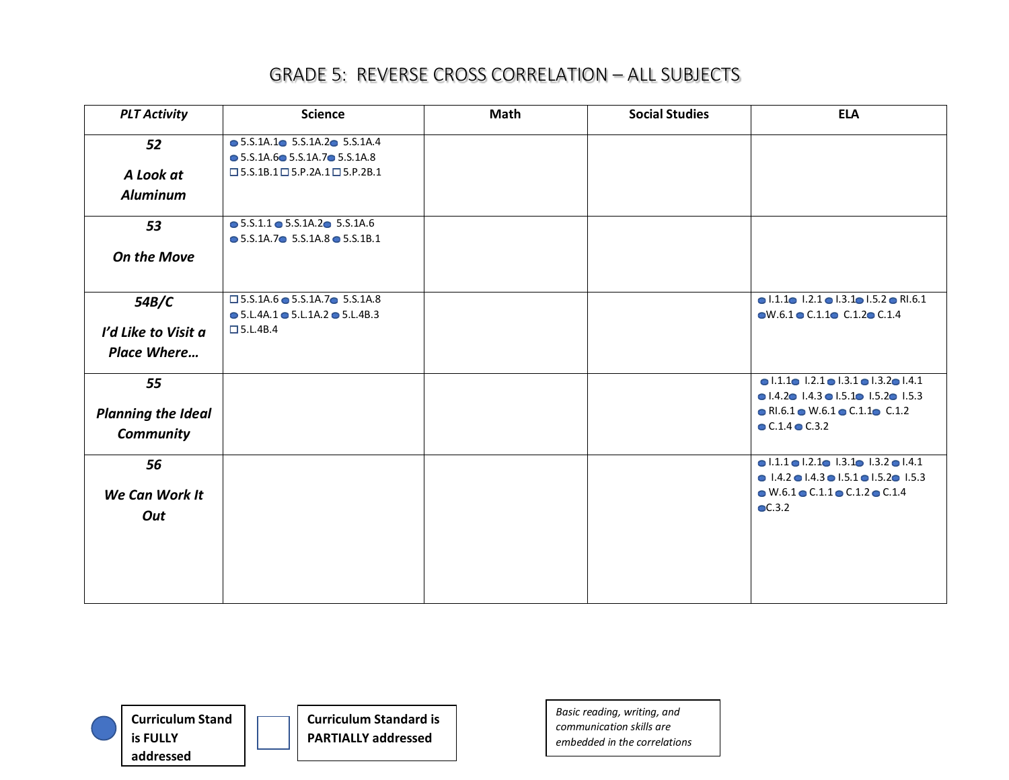| <b>PLT Activity</b>       | <b>Science</b>                                                                                                       | <b>Math</b> | <b>Social Studies</b> | <b>ELA</b>                                                                                                                                                         |
|---------------------------|----------------------------------------------------------------------------------------------------------------------|-------------|-----------------------|--------------------------------------------------------------------------------------------------------------------------------------------------------------------|
| 52                        | $\bullet$ 5.S.1A.1 $\bullet$ 5.S.1A.2 $\bullet$ 5.S.1A.4                                                             |             |                       |                                                                                                                                                                    |
| A Look at                 | $\bullet$ 5.S.1A.6 $\bullet$ 5.S.1A.7 $\bullet$ 5.S.1A.8<br>$\square$ 5.S.1B.1 $\square$ 5.P.2A.1 $\square$ 5.P.2B.1 |             |                       |                                                                                                                                                                    |
| <b>Aluminum</b>           |                                                                                                                      |             |                       |                                                                                                                                                                    |
| 53                        | $\bullet$ 5.S.1.1 $\bullet$ 5.S.1A.2 $\bullet$ 5.S.1A.6<br>$\bullet$ 5.S.1A.7 $\bullet$ 5.S.1A.8 $\bullet$ 5.S.1B.1  |             |                       |                                                                                                                                                                    |
| <b>On the Move</b>        |                                                                                                                      |             |                       |                                                                                                                                                                    |
| 54B/C                     | $\square$ 5.S.1A.6 $\bullet$ 5.S.1A.7 $\bullet$ 5.S.1A.8<br>$\bullet$ 5.L.4A.1 $\bullet$ 5.L.1A.2 $\bullet$ 5.L.4B.3 |             |                       | $\bullet$ 1.1.1 $\bullet$ 1.2.1 $\bullet$ 1.3.1 $\bullet$ 1.5.2 $\bullet$ RI.6.1<br>$\bullet$ W.6.1 $\bullet$ C.1.1 $\bullet$ C.1.2 $\bullet$ C.1.4                |
| I'd Like to Visit a       | $\Box$ 5.L.4B.4                                                                                                      |             |                       |                                                                                                                                                                    |
| <b>Place Where</b>        |                                                                                                                      |             |                       |                                                                                                                                                                    |
| 55                        |                                                                                                                      |             |                       | $\bullet$ 1.1.1 $\bullet$ 1.2.1 $\bullet$ 1.3.1 $\bullet$ 1.3.2 $\bullet$ 1.4.1<br>$\bullet$ 1.4.2 $\bullet$ 1.4.3 $\bullet$ 1.5.1 $\bullet$ 1.5.2 $\bullet$ 1.5.3 |
| <b>Planning the Ideal</b> |                                                                                                                      |             |                       | $\bullet$ RI.6.1 $\bullet$ W.6.1 $\bullet$ C.1.1 $\bullet$ C.1.2                                                                                                   |
| Community                 |                                                                                                                      |             |                       | $\bullet$ C.1.4 $\bullet$ C.3.2                                                                                                                                    |
| 56                        |                                                                                                                      |             |                       | $\bullet$ 1.1.1 $\bullet$ 1.2.1 $\bullet$ 1.3.1 $\bullet$ 1.3.2 $\bullet$ 1.4.1                                                                                    |
| We Can Work It            |                                                                                                                      |             |                       | $\bullet$ 1.4.2 $\bullet$ 1.4.3 $\bullet$ 1.5.1 $\bullet$ 1.5.2 $\bullet$ 1.5.3<br>$\bullet$ W.6.1 $\bullet$ C.1.1 $\bullet$ C.1.2 $\bullet$ C.1.4                 |
| Out                       |                                                                                                                      |             |                       | $\bullet$ C.3.2                                                                                                                                                    |
|                           |                                                                                                                      |             |                       |                                                                                                                                                                    |
|                           |                                                                                                                      |             |                       |                                                                                                                                                                    |
|                           |                                                                                                                      |             |                       |                                                                                                                                                                    |
|                           |                                                                                                                      |             |                       |                                                                                                                                                                    |



**Curriculum Standard is PARTIALLY addressed**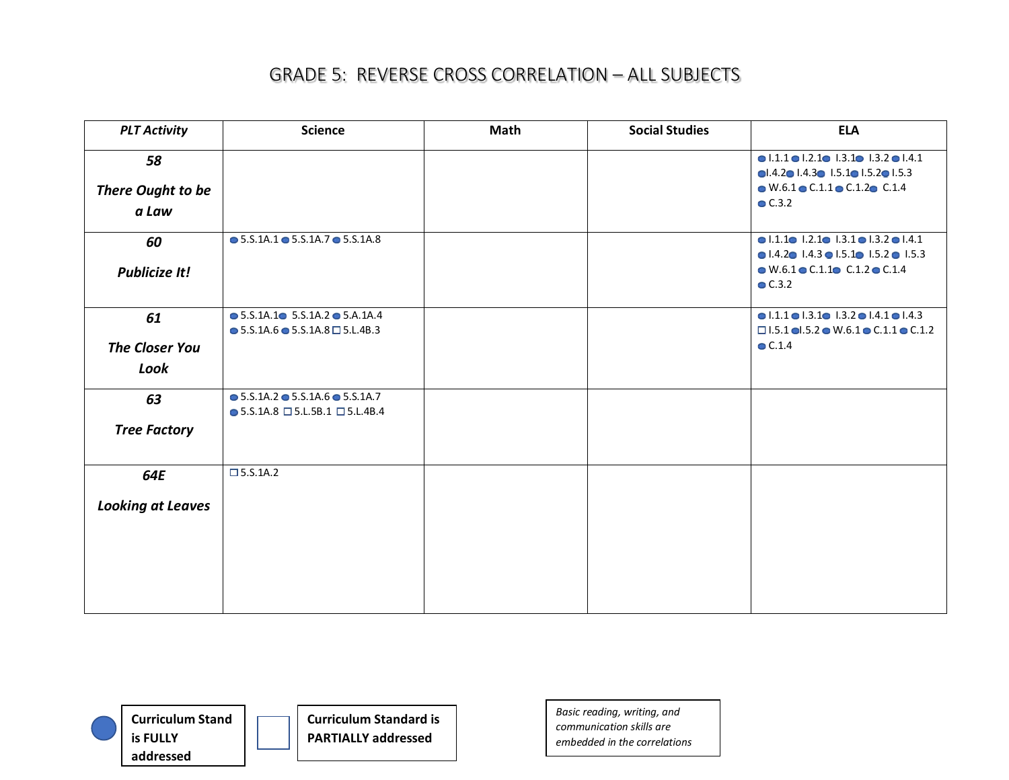| <b>PLT Activity</b>      | <b>Science</b>                                                                                                    | <b>Math</b> | <b>Social Studies</b> | <b>ELA</b>                                                                                                                                                                          |
|--------------------------|-------------------------------------------------------------------------------------------------------------------|-------------|-----------------------|-------------------------------------------------------------------------------------------------------------------------------------------------------------------------------------|
| 58<br>There Ought to be  |                                                                                                                   |             |                       | $\bullet$ 1.1.1 $\bullet$ 1.2.1 $\bullet$ 1.3.1 $\bullet$ 1.3.2 $\bullet$ 1.4.1<br>0.4.201.4.301.5.101.5.201.5.3<br>$\bullet$ W.6.1 $\bullet$ C.1.1 $\bullet$ C.1.2 $\bullet$ C.1.4 |
| a Law                    |                                                                                                                   |             |                       | C.3.2                                                                                                                                                                               |
| 60                       | $\bullet$ 5.S.1A.1 $\bullet$ 5.S.1A.7 $\bullet$ 5.S.1A.8                                                          |             |                       | $\bullet$ 1.1.1 $\bullet$ 1.2.1 $\bullet$ 1.3.1 $\bullet$ 1.3.2 $\bullet$ 1.4.1<br>$\bullet$ 1.4.2 $\bullet$ 1.4.3 $\bullet$ 1.5.1 $\bullet$ 1.5.2 $\bullet$ 1.5.3                  |
| <b>Publicize It!</b>     |                                                                                                                   |             |                       | $\bullet$ W.6.1 $\bullet$ C.1.1 $\bullet$ C.1.2 $\bullet$ C.1.4<br>C.3.2                                                                                                            |
| 61                       | $\bullet$ 5.S.1A.1 $\bullet$ 5.S.1A.2 $\bullet$ 5.A.1A.4<br>$\bullet$ 5.S.1A.6 $\bullet$ 5.S.1A.8 $\Box$ 5.L.4B.3 |             |                       | $\bullet$ 1.1.1 $\bullet$ 1.3.1 $\bullet$ 1.3.2 $\bullet$ 1.4.1 $\bullet$ 1.4.3<br>$\Box$ 1.5.1 ol.5.2 o W.6.1 o C.1.1 o C.1.2                                                      |
| <b>The Closer You</b>    |                                                                                                                   |             |                       | $\bullet$ C.1.4                                                                                                                                                                     |
| Look                     |                                                                                                                   |             |                       |                                                                                                                                                                                     |
| 63                       | $\bullet$ 5.S.1A.2 $\bullet$ 5.S.1A.6 $\bullet$ 5.S.1A.7<br>$\bullet$ 5.S.1A.8 $\Box$ 5.L.5B.1 $\Box$ 5.L.4B.4    |             |                       |                                                                                                                                                                                     |
| <b>Tree Factory</b>      |                                                                                                                   |             |                       |                                                                                                                                                                                     |
| 64E                      | $\square$ 5.5.1A.2                                                                                                |             |                       |                                                                                                                                                                                     |
| <b>Looking at Leaves</b> |                                                                                                                   |             |                       |                                                                                                                                                                                     |
|                          |                                                                                                                   |             |                       |                                                                                                                                                                                     |
|                          |                                                                                                                   |             |                       |                                                                                                                                                                                     |



**Curriculum Standard is PARTIALLY addressed**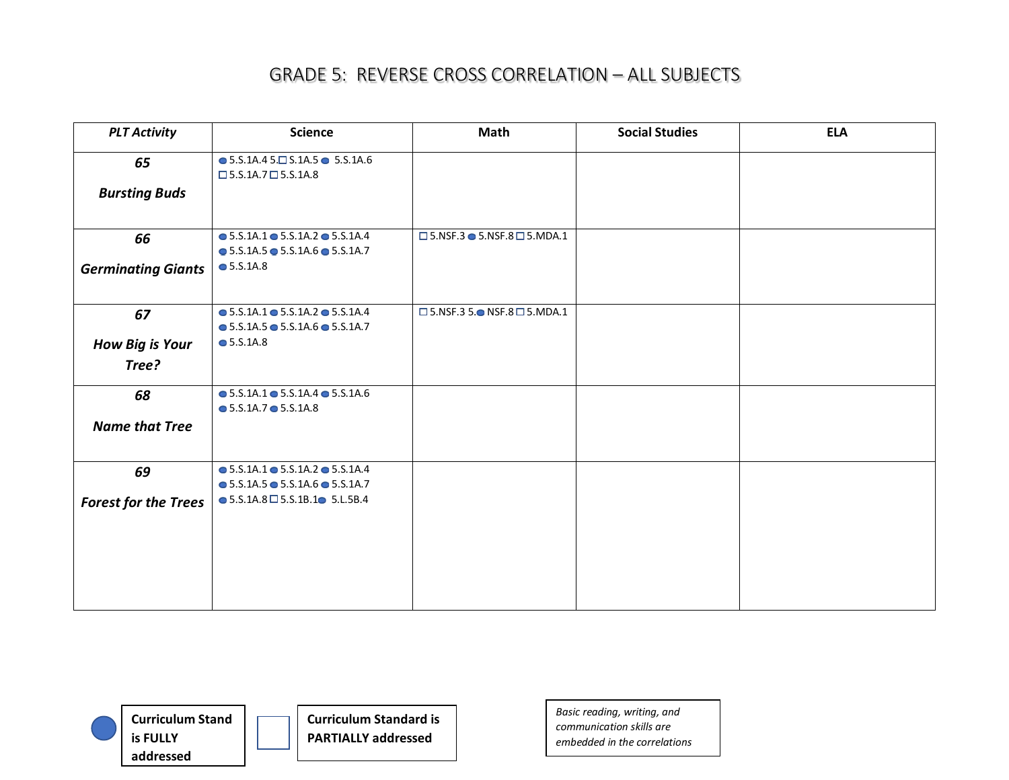| <b>PLT Activity</b>         | <b>Science</b>                                                                                                       | Math                                                   | <b>Social Studies</b> | <b>ELA</b> |
|-----------------------------|----------------------------------------------------------------------------------------------------------------------|--------------------------------------------------------|-----------------------|------------|
| 65                          | $\bullet$ 5.S.1A.4 5. $\Box$ S.1A.5 $\bullet$ 5.S.1A.6<br>$\square$ 5.S.1A.7 $\square$ 5.S.1A.8                      |                                                        |                       |            |
| <b>Bursting Buds</b>        |                                                                                                                      |                                                        |                       |            |
| 66                          | $\bullet$ 5.S.1A.1 $\bullet$ 5.S.1A.2 $\bullet$ 5.S.1A.4<br>$\bullet$ 5.S.1A.5 $\bullet$ 5.S.1A.6 $\bullet$ 5.S.1A.7 | $\square$ 5.NSF.3 $\bullet$ 5.NSF.8 $\square$ 5.MDA.1  |                       |            |
| <b>Germinating Giants</b>   | $\bullet$ 5.S.1A.8                                                                                                   |                                                        |                       |            |
| 67                          | $\bullet$ 5.S.1A.1 $\bullet$ 5.S.1A.2 $\bullet$ 5.S.1A.4<br>$\bullet$ 5.S.1A.5 $\bullet$ 5.S.1A.6 $\bullet$ 5.S.1A.7 | $\square$ 5.NSF.3 5. $\bullet$ NSF.8 $\square$ 5.MDA.1 |                       |            |
| <b>How Big is Your</b>      | $\bullet$ 5.S.1A.8                                                                                                   |                                                        |                       |            |
| Tree?                       |                                                                                                                      |                                                        |                       |            |
| 68                          | $\bullet$ 5.S.1A.1 $\bullet$ 5.S.1A.4 $\bullet$ 5.S.1A.6<br>$\bullet$ 5.S.1A.7 $\bullet$ 5.S.1A.8                    |                                                        |                       |            |
| <b>Name that Tree</b>       |                                                                                                                      |                                                        |                       |            |
| 69                          | $\bullet$ 5.S.1A.1 $\bullet$ 5.S.1A.2 $\bullet$ 5.S.1A.4<br>$\bullet$ 5.S.1A.5 $\bullet$ 5.S.1A.6 $\bullet$ 5.S.1A.7 |                                                        |                       |            |
| <b>Forest for the Trees</b> | $\bullet$ 5.S.1A.8 $\Box$ 5.S.1B.1 $\bullet$ 5.L.5B.4                                                                |                                                        |                       |            |
|                             |                                                                                                                      |                                                        |                       |            |
|                             |                                                                                                                      |                                                        |                       |            |
|                             |                                                                                                                      |                                                        |                       |            |



**Curriculum Standard is PARTIALLY addressed**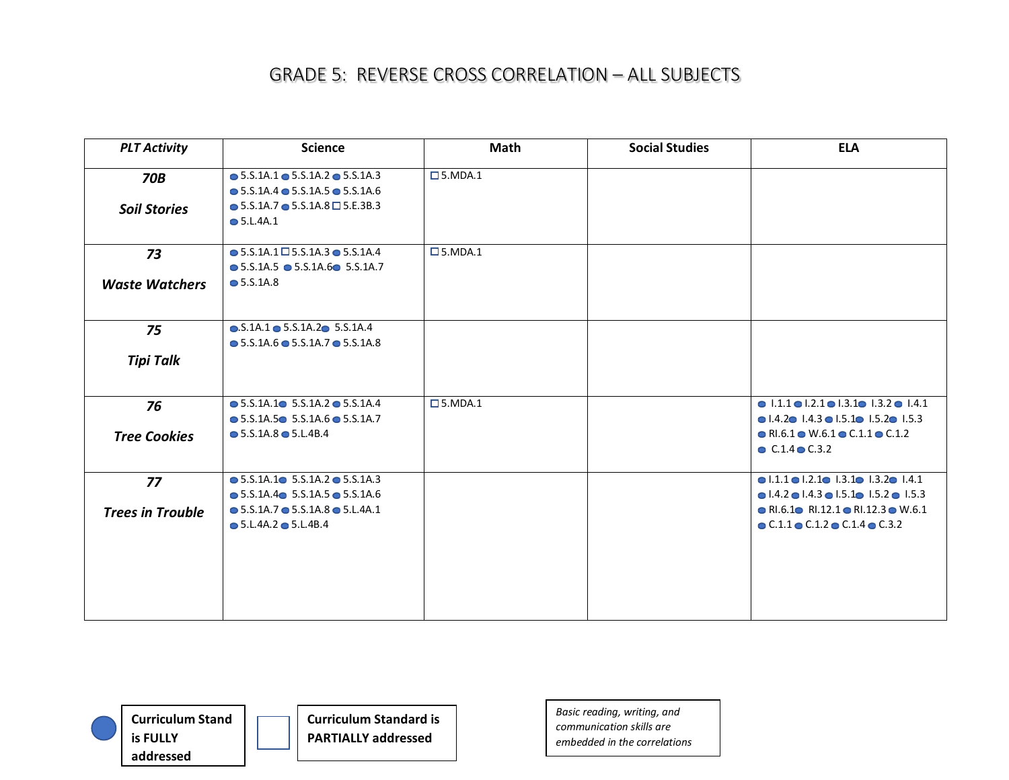| <b>PLT Activity</b>     | <b>Science</b>                                           | <b>Math</b>         | <b>Social Studies</b> | <b>ELA</b>                                                                      |
|-------------------------|----------------------------------------------------------|---------------------|-----------------------|---------------------------------------------------------------------------------|
| <b>70B</b>              | $\bullet$ 5.S.1A.1 $\bullet$ 5.S.1A.2 $\bullet$ 5.S.1A.3 | $\square$ 5. MDA. 1 |                       |                                                                                 |
|                         | $\bullet$ 5.S.1A.4 $\bullet$ 5.S.1A.5 $\bullet$ 5.S.1A.6 |                     |                       |                                                                                 |
| <b>Soil Stories</b>     | $\bullet$ 5.S.1A.7 $\bullet$ 5.S.1A.8 $\Box$ 5.E.3B.3    |                     |                       |                                                                                 |
|                         | $\bullet$ 5.L.4A.1                                       |                     |                       |                                                                                 |
|                         |                                                          |                     |                       |                                                                                 |
| 73                      | $\bullet$ 5.S.1A.1 $\Box$ 5.S.1A.3 $\bullet$ 5.S.1A.4    | $\square$ 5. MDA. 1 |                       |                                                                                 |
|                         | $\bullet$ 5.S.1A.5 $\bullet$ 5.S.1A.6 5.S.1A.7           |                     |                       |                                                                                 |
| <b>Waste Watchers</b>   | $\bullet$ 5.S.1A.8                                       |                     |                       |                                                                                 |
|                         |                                                          |                     |                       |                                                                                 |
| 75                      | $\bullet$ .S.1A.1 $\bullet$ 5.S.1A.2 $\bullet$ 5.S.1A.4  |                     |                       |                                                                                 |
|                         | $\bullet$ 5.S.1A.6 $\bullet$ 5.S.1A.7 $\bullet$ 5.S.1A.8 |                     |                       |                                                                                 |
| <b>Tipi Talk</b>        |                                                          |                     |                       |                                                                                 |
|                         |                                                          |                     |                       |                                                                                 |
|                         |                                                          |                     |                       |                                                                                 |
| 76                      | $\bullet$ 5.S.1A.1 $\bullet$ 5.S.1A.2 $\bullet$ 5.S.1A.4 | $\square$ 5. MDA. 1 |                       | $\bullet$ 1.1.1 $\bullet$ 1.2.1 $\bullet$ 1.3.1 $\bullet$ 1.3.2 $\bullet$ 1.4.1 |
|                         | $\bullet$ 5.S.1A.5 $\bullet$ 5.S.1A.6 $\bullet$ 5.S.1A.7 |                     |                       | $\bullet$ 1.4.2 $\bullet$ 1.4.3 $\bullet$ 1.5.1 $\bullet$ 1.5.2 $\bullet$ 1.5.3 |
| <b>Tree Cookies</b>     | $\bullet$ 5.S.1A.8 $\bullet$ 5.L.4B.4                    |                     |                       | $\bullet$ RI.6.1 $\bullet$ W.6.1 $\bullet$ C.1.1 $\bullet$ C.1.2                |
|                         |                                                          |                     |                       | $C.1.4$ $C.3.2$                                                                 |
| 77                      | $\bullet$ 5.S.1A.1 $\bullet$ 5.S.1A.2 $\bullet$ 5.S.1A.3 |                     |                       | $\bullet$ 1.1.1 $\bullet$ 1.2.1 $\bullet$ 1.3.1 $\bullet$ 1.3.2 $\bullet$ 1.4.1 |
|                         | $\bullet$ 5.S.1A.4 $\bullet$ 5.S.1A.5 $\bullet$ 5.S.1A.6 |                     |                       | $\bullet$ 1.4.2 $\bullet$ 1.4.3 $\bullet$ 1.5.1 $\bullet$ 1.5.2 $\bullet$ 1.5.3 |
| <b>Trees in Trouble</b> | $\bullet$ 5.S.1A.7 $\bullet$ 5.S.1A.8 $\bullet$ 5.L.4A.1 |                     |                       | $\bullet$ RI.6.1 $\bullet$ RI.12.1 $\bullet$ RI.12.3 $\bullet$ W.6.1            |
|                         | $\bullet$ 5.L.4A.2 $\bullet$ 5.L.4B.4                    |                     |                       | $\bullet$ C.1.1 $\bullet$ C.1.2 $\bullet$ C.1.4 $\bullet$ C.3.2                 |
|                         |                                                          |                     |                       |                                                                                 |
|                         |                                                          |                     |                       |                                                                                 |
|                         |                                                          |                     |                       |                                                                                 |
|                         |                                                          |                     |                       |                                                                                 |
|                         |                                                          |                     |                       |                                                                                 |
|                         |                                                          |                     |                       |                                                                                 |



**Curriculum Standard is PARTIALLY addressed**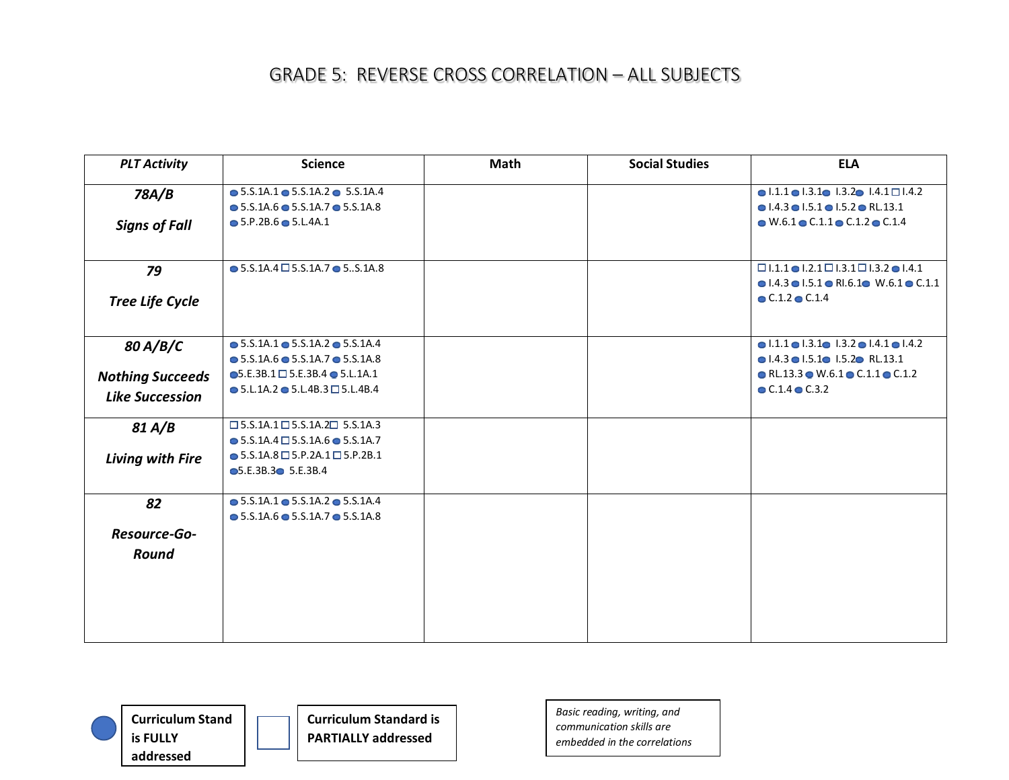| <b>PLT Activity</b>     | <b>Science</b>                                                                   | Math | <b>Social Studies</b> | <b>ELA</b>                                                                                                          |
|-------------------------|----------------------------------------------------------------------------------|------|-----------------------|---------------------------------------------------------------------------------------------------------------------|
| 78A/B                   | $\bullet$ 5.S.1A.1 $\bullet$ 5.S.1A.2 $\bullet$ 5.S.1A.4                         |      |                       | $\bullet$ 1.1.1 $\bullet$ 1.3.1 $\bullet$ 1.3.2 $\bullet$ 1.4.1 $\Box$ 1.4.2                                        |
|                         | $\bullet$ 5.S.1A.6 $\bullet$ 5.S.1A.7 $\bullet$ 5.S.1A.8                         |      |                       | $\bullet$ 1.4.3 $\bullet$ 1.5.1 $\bullet$ 1.5.2 $\bullet$ RL.13.1                                                   |
| <b>Signs of Fall</b>    | $\bullet$ 5.P.2B.6 $\bullet$ 5.L.4A.1                                            |      |                       | $\bullet$ W.6.1 $\bullet$ C.1.1 $\bullet$ C.1.2 $\bullet$ C.1.4                                                     |
| 79                      | $\bullet$ 5.S.1A.4 $\Box$ 5.S.1A.7 $\bullet$ 5S.1A.8                             |      |                       | $\Box$ 1.1.1 $\bigcirc$ 1.2.1 $\Box$ 1.3.1 $\Box$ 1.3.2 $\bigcirc$ 1.4.1                                            |
| <b>Tree Life Cycle</b>  |                                                                                  |      |                       | $\bullet$ 1.4.3 $\bullet$ 1.5.1 $\bullet$ RI.6.1 $\bullet$ W.6.1 $\bullet$ C.1.1<br>$\bullet$ C.1.2 $\bullet$ C.1.4 |
| 80 A/B/C                | $\bullet$ 5.S.1A.1 $\bullet$ 5.S.1A.2 $\bullet$ 5.S.1A.4                         |      |                       | $\bullet$ 1.1.1 $\bullet$ 1.3.1 $\bullet$ 1.3.2 $\bullet$ 1.4.1 $\bullet$ 1.4.2                                     |
|                         | $\bullet$ 5.S.1A.6 $\bullet$ 5.S.1A.7 $\bullet$ 5.S.1A.8                         |      |                       | $\bullet$ 1.4.3 $\bullet$ 1.5.1 $\bullet$ 1.5.2 $\bullet$ RL.13.1                                                   |
| <b>Nothing Succeeds</b> | $\bullet$ 5.E.3B.1 $\Box$ 5.E.3B.4 $\bullet$ 5.L.1A.1                            |      |                       | $\bullet$ RL.13.3 $\bullet$ W.6.1 $\bullet$ C.1.1 $\bullet$ C.1.2                                                   |
| <b>Like Succession</b>  | $\bullet$ 5.L.1A.2 $\bullet$ 5.L.4B.3 $\Box$ 5.L.4B.4                            |      |                       | $\bullet$ C.1.4 $\bullet$ C.3.2                                                                                     |
| 81 A/B                  | $\square$ 5.S.1A.1 $\square$ 5.S.1A.2 $\square$ 5.S.1A.3                         |      |                       |                                                                                                                     |
|                         | $\bullet$ 5.S.1A.4 $\Box$ 5.S.1A.6 $\bullet$ 5.S.1A.7                            |      |                       |                                                                                                                     |
| Living with Fire        | $\bullet$ 5.S.1A.8 $\Box$ 5.P.2A.1 $\Box$ 5.P.2B.1<br><b>●5.E.3B.3● 5.E.3B.4</b> |      |                       |                                                                                                                     |
| 82                      | $\bullet$ 5.S.1A.1 $\bullet$ 5.S.1A.2 $\bullet$ 5.S.1A.4                         |      |                       |                                                                                                                     |
|                         | $\bullet$ 5.S.1A.6 $\bullet$ 5.S.1A.7 $\bullet$ 5.S.1A.8                         |      |                       |                                                                                                                     |
| Resource-Go-            |                                                                                  |      |                       |                                                                                                                     |
| Round                   |                                                                                  |      |                       |                                                                                                                     |
|                         |                                                                                  |      |                       |                                                                                                                     |
|                         |                                                                                  |      |                       |                                                                                                                     |
|                         |                                                                                  |      |                       |                                                                                                                     |



**Curriculum Standard is PARTIALLY addressed**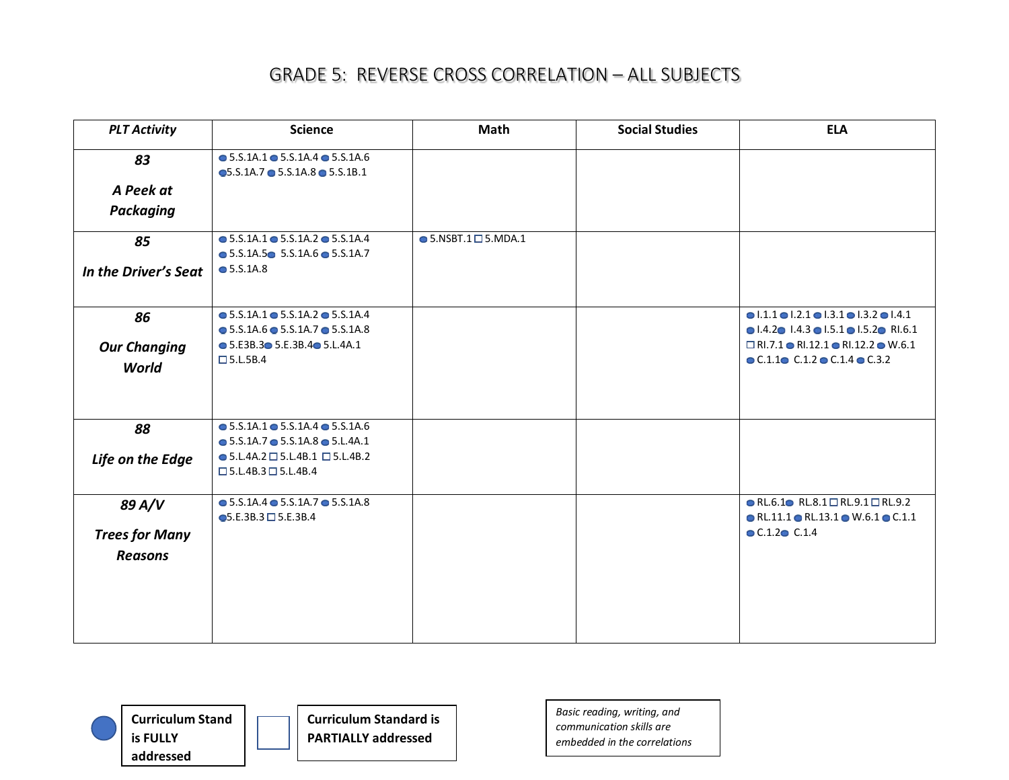| <b>PLT Activity</b>   | <b>Science</b>                                                                                                       | <b>Math</b>                       | <b>Social Studies</b> | <b>ELA</b>                                                                                                                           |
|-----------------------|----------------------------------------------------------------------------------------------------------------------|-----------------------------------|-----------------------|--------------------------------------------------------------------------------------------------------------------------------------|
| 83                    | $\bullet$ 5.S.1A.1 $\bullet$ 5.S.1A.4 $\bullet$ 5.S.1A.6<br>$\bullet$ 5.S.1A.7 $\bullet$ 5.S.1A.8 $\bullet$ 5.S.1B.1 |                                   |                       |                                                                                                                                      |
| A Peek at             |                                                                                                                      |                                   |                       |                                                                                                                                      |
| <b>Packaging</b>      |                                                                                                                      |                                   |                       |                                                                                                                                      |
| 85                    | $\bullet$ 5.S.1A.1 $\bullet$ 5.S.1A.2 $\bullet$ 5.S.1A.4<br>$\bullet$ 5.S.1A.5 $\bullet$ 5.S.1A.6 $\bullet$ 5.S.1A.7 | $\bullet$ 5.NSBT.1 $\Box$ 5.MDA.1 |                       |                                                                                                                                      |
| In the Driver's Seat  | $\bullet$ 5.S.1A.8                                                                                                   |                                   |                       |                                                                                                                                      |
| 86                    | $\bullet$ 5.S.1A.1 $\bullet$ 5.S.1A.2 $\bullet$ 5.S.1A.4<br>$\bullet$ 5.S.1A.6 $\bullet$ 5.S.1A.7 $\bullet$ 5.S.1A.8 |                                   |                       | $0.1.1$ $0.2.1$ $0.3.1$ $0.3.2$ $0.4.1$<br>$\bullet$ 1.4.2 $\bullet$ 1.4.3 $\bullet$ 1.5.1 $\bullet$ 1.5.2 $\bullet$ RI.6.1          |
| <b>Our Changing</b>   | $\bullet$ 5.E3B.3 $\bullet$ 5.E.3B.4 $\bullet$ 5.L.4A.1                                                              |                                   |                       | $\Box$ RI.7.1 $\bullet$ RI.12.1 $\bullet$ RI.12.2 $\bullet$ W.6.1                                                                    |
| <b>World</b>          | $\square$ 5.L.5B.4                                                                                                   |                                   |                       | $\bullet$ C.1.1 $\bullet$ C.1.2 $\bullet$ C.1.4 $\bullet$ C.3.2                                                                      |
| 88                    | $\bullet$ 5.S.1A.1 $\bullet$ 5.S.1A.4 $\bullet$ 5.S.1A.6<br>$\bullet$ 5.S.1A.7 $\bullet$ 5.S.1A.8 $\bullet$ 5.L.4A.1 |                                   |                       |                                                                                                                                      |
| Life on the Edge      | $\bullet$ 5.L.4A.2 $\Box$ 5.L.4B.1 $\Box$ 5.L.4B.2<br>$\square$ 5.L.4B.3 $\square$ 5.L.4B.4                          |                                   |                       |                                                                                                                                      |
| 89 A/V                | $\bullet$ 5.S.1A.4 $\bullet$ 5.S.1A.7 $\bullet$ 5.S.1A.8<br>$\bullet$ 5.E.3B.3 $\Box$ 5.E.3B.4                       |                                   |                       | $\bullet$ RL.6.1 $\bullet$ RL.8.1 $\Box$ RL.9.1 $\Box$ RL.9.2<br>$\bullet$ RL.11.1 $\bullet$ RL.13.1 $\bullet$ W.6.1 $\bullet$ C.1.1 |
| <b>Trees for Many</b> |                                                                                                                      |                                   |                       | C.1.2C C.1.4                                                                                                                         |
| <b>Reasons</b>        |                                                                                                                      |                                   |                       |                                                                                                                                      |
|                       |                                                                                                                      |                                   |                       |                                                                                                                                      |